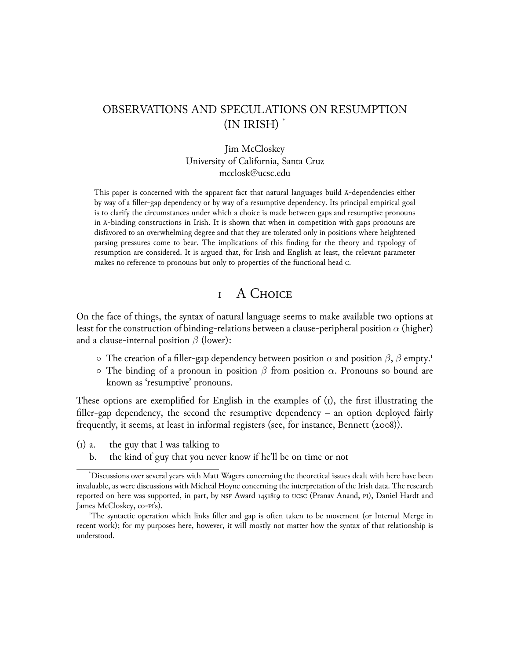# OBSERVATIONS AND SPECULATIONS ON RESUMPTION (IN IRISH) \*

#### Jim McCloskey University of California, Santa Cruz mcclosk@ucsc.edu

This paper is concerned with the apparent fact that natural languages build ā-dependencies either by way of a filler-gap dependency or by way of a resumptive dependency. Its principal empirical goal is to clarify the circumstances under which a choice is made between gaps and resumptive pronouns in ā-binding constructions in Irish. It is shown that when in competition with gaps pronouns are disfavored to an overwhelming degree and that they are tolerated only in positions where heightened parsing pressures come to bear. The implications of this finding for the theory and typology of resumption are considered. It is argued that, for Irish and English at least, the relevant parameter makes no reference to pronouns but only to properties of the functional head c.

## 1 A Choice

On the face of things, the syntax of natural language seems to make available two options at least for the construction of binding-relations between a clause-peripheral position *α* (higher) and a clause-internal position *β* (lower):

- *◦* The creation of a filler-gap dependency between position *α* and position *β*, *β* empty.<sup>1</sup>
- *◦* The binding of a pronoun in position *β* from position *α*. Pronouns so bound are known as 'resumptive' pronouns.

These options are exemplified for English in the examples of (1), the first illustrating the filler-gap dependency, the second the resumptive dependency  $-$  an option deployed fairly frequently, it seems, at least in informal registers (see, for instance, Bennett  $(2008)$ ).

- $(i)$  a. the guy that I was talking to
	- b. the kind of guy that you never know if he'll be on time or not

<sup>\*</sup>Discussions over several years with Matt Wagers concerning the theoretical issues dealt with here have been invaluable, as were discussions with Mícheál Hoyne concerning the interpretation of the Irish data. The research reported on here was supported, in part, by NSF Award 1451819 to UCSC (Pranav Anand, PI), Daniel Hardt and James McCloskey, co-pi's).

<sup>1</sup>The syntactic operation which links filler and gap is often taken to be movement (or Internal Merge in recent work); for my purposes here, however, it will mostly not matter how the syntax of that relationship is understood.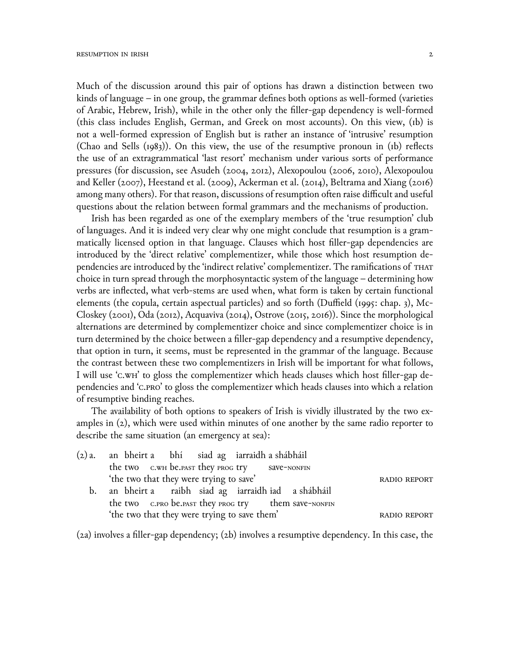Much of the discussion around this pair of options has drawn a distinction between two kinds of language – in one group, the grammar defines both options as well-formed (varieties of Arabic, Hebrew, Irish), while in the other only the filler-gap dependency is well-formed (this class includes English, German, and Greek on most accounts). On this view, (1b) is not a well-formed expression of English but is rather an instance of 'intrusive' resumption (Chao and Sells (1983)). On this view, the use of the resumptive pronoun in (1b) reflects the use of an extragrammatical 'last resort' mechanism under various sorts of performance pressures (for discussion, see Asudeh (2004, 2012), Alexopoulou (2006, 2010), Alexopoulou and Keller (2007), Heestand et al. (2009), Ackerman et al. (2014), Beltrama and Xiang (2016) among many others). For that reason, discussions of resumption often raise difficult and useful questions about the relation between formal grammars and the mechanisms of production.

Irish has been regarded as one of the exemplary members of the 'true resumption' club of languages. And it is indeed very clear why one might conclude that resumption is a grammatically licensed option in that language. Clauses which host filler-gap dependencies are introduced by the 'direct relative' complementizer, while those which host resumption dependencies are introduced by the 'indirect relative' complementizer. The ramifications of that choice in turn spread through the morphosyntactic system of the language – determining how verbs are inflected, what verb-stems are used when, what form is taken by certain functional elements (the copula, certain aspectual particles) and so forth (Duffield (1995: chap. 3), Mc-Closkey (2001), Oda (2012), Acquaviva (2014), Ostrove (2015, 2016)). Since the morphological alternations are determined by complementizer choice and since complementizer choice is in turn determined by the choice between a filler-gap dependency and a resumptive dependency, that option in turn, it seems, must be represented in the grammar of the language. Because the contrast between these two complementizers in Irish will be important for what follows, I will use 'c.w<sub>H</sub>' to gloss the complementizer which heads clauses which host filler-gap dependencies and 'c.pro' to gloss the complementizer which heads clauses into which a relation of resumptive binding reaches.

The availability of both options to speakers of Irish is vividly illustrated by the two examples in (2), which were used within minutes of one another by the same radio reporter to describe the same situation (an emergency at sea):

| (2) a. an bheirt a bhí siad ag iarraidh a shábháil   |                     |
|------------------------------------------------------|---------------------|
| the two c.wh be.past they prog try save-NONFIN       |                     |
| 'the two that they were trying to save'              | <b>RADIO REPORT</b> |
| b. an bheirt a raibh siad ag iarraidh iad a shábháil |                     |
| the two c.PRO be.PAST they PROG try them save-NONFIN |                     |
| 'the two that they were trying to save them'         | <b>RADIO REPORT</b> |
|                                                      |                     |

(2a) involves a filler-gap dependency; (2b) involves a resumptive dependency. In this case, the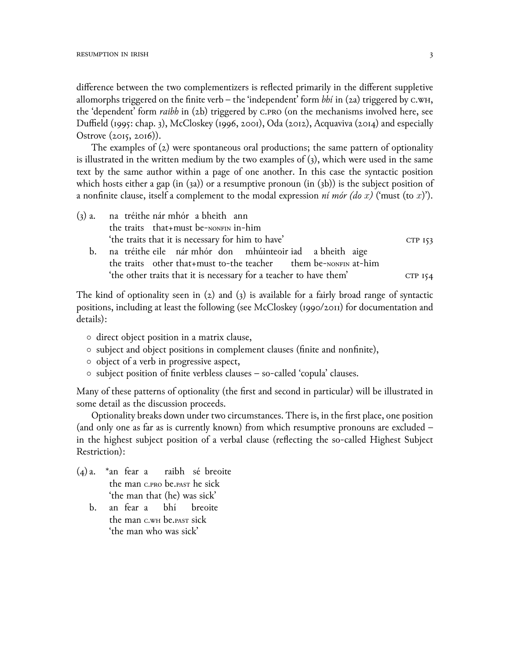difference between the two complementizers is reflected primarily in the different suppletive allomorphs triggered on the finite verb – the 'independent' form  $bh$  in (2a) triggered by c.w<sub>H</sub>, the 'dependent' form *raibh* in (2b) triggered by c.pro (on the mechanisms involved here, see Duffield (1995: chap. 3), McCloskey (1996, 2001), Oda (2012), Acquaviva (2014) and especially Ostrove  $(2015, 2016)$ .

The examples of (2) were spontaneous oral productions; the same pattern of optionality is illustrated in the written medium by the two examples of (3), which were used in the same text by the same author within a page of one another. In this case the syntactic position which hosts either a gap (in  $(3a)$ ) or a resumptive pronoun (in  $(3b)$ ) is the subject position of a nonfinite clause, itself a complement to the modal expression *ní mór (do x)* ('must (to *x*)').

| (3) a. na tréithe nár mhór a bheith ann                     |         |
|-------------------------------------------------------------|---------|
| the traits that+must be-NONFIN in-him                       |         |
| 'the traits that it is necessary for him to have'           | CTP 153 |
| h na tréithe eile nár-mhór don mhúinteoir iad a bheith aige |         |

b. na tréithe eile nár mhór don mhúinteoir iad a bheith aige the traits other that+must to-the teacher them be-nonFIN at-him 'the other traits that it is necessary for a teacher to have them'  $CTP_{154}$ 

The kind of optionality seen in  $(2)$  and  $(3)$  is available for a fairly broad range of syntactic positions, including at least the following (see McCloskey (1990/2011) for documentation and details):

- *◦* direct object position in a matrix clause,
- *◦* subject and object positions in complement clauses (finite and nonfinite),
- *◦* object of a verb in progressive aspect,
- *◦* subject position of finite verbless clauses so-called 'copula' clauses.

Many of these patterns of optionality (the first and second in particular) will be illustrated in some detail as the discussion proceeds.

Optionality breaks down under two circumstances. There is, in the first place, one position (and only one as far as is currently known) from which resumptive pronouns are excluded – in the highest subject position of a verbal clause (reflecting the so-called Highest Subject Restriction):

- (4) a. \*an fear a the man c.pro be.past he sick raibh sé breoite 'the man that (he) was sick'
	- $h_{\alpha}$ the man c.wh be.past sick fear a bhí breoite 'the man who was sick'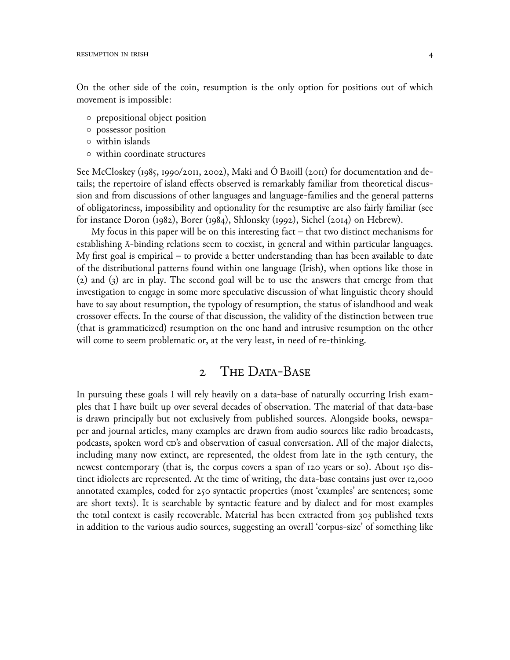On the other side of the coin, resumption is the only option for positions out of which movement is impossible:

- *◦* prepositional object position
- *◦* possessor position
- *◦* within islands
- *◦* within coordinate structures

See McCloskey (1985, 1990/2011, 2002), Maki and O Baoill (2011) for documentation and details; the repertoire of island effects observed is remarkably familiar from theoretical discussion and from discussions of other languages and language-families and the general patterns of obligatoriness, impossibility and optionality for the resumptive are also fairly familiar (see for instance Doron (1982), Borer (1984), Shlonsky (1992), Sichel (2014) on Hebrew).

My focus in this paper will be on this interesting fact – that two distinct mechanisms for establishing ā-binding relations seem to coexist, in general and within particular languages. My first goal is empirical – to provide a better understanding than has been available to date of the distributional patterns found within one language (Irish), when options like those in (2) and (3) are in play. The second goal will be to use the answers that emerge from that investigation to engage in some more speculative discussion of what linguistic theory should have to say about resumption, the typology of resumption, the status of islandhood and weak crossover effects. In the course of that discussion, the validity of the distinction between true (that is grammaticized) resumption on the one hand and intrusive resumption on the other will come to seem problematic or, at the very least, in need of re-thinking.

## 2 THE DATA-BASE

In pursuing these goals I will rely heavily on a data-base of naturally occurring Irish examples that I have built up over several decades of observation. The material of that data-base is drawn principally but not exclusively from published sources. Alongside books, newspaper and journal articles, many examples are drawn from audio sources like radio broadcasts, podcasts, spoken word  $CD$ 's and observation of casual conversation. All of the major dialects, including many now extinct, are represented, the oldest from late in the 19th century, the newest contemporary (that is, the corpus covers a span of 120 years or so). About 150 distinct idiolects are represented. At the time of writing, the data-base contains just over 12,000 annotated examples, coded for 250 syntactic properties (most 'examples' are sentences; some are short texts). It is searchable by syntactic feature and by dialect and for most examples the total context is easily recoverable. Material has been extracted from 303 published texts in addition to the various audio sources, suggesting an overall 'corpus-size' of something like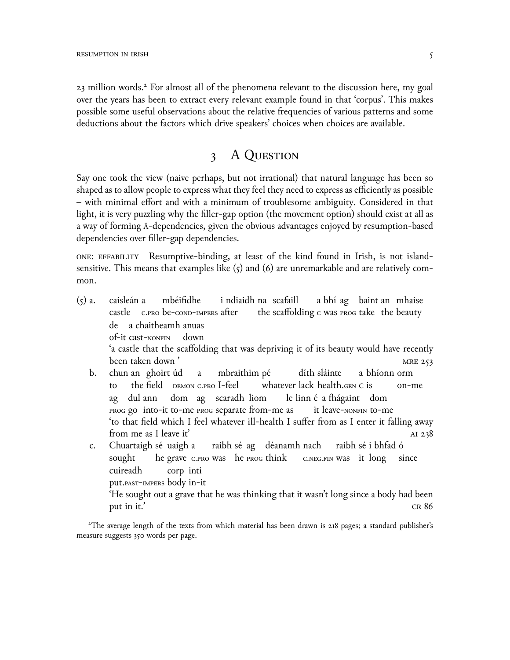23 million words.<sup>2</sup> For almost all of the phenomena relevant to the discussion here, my goal over the years has been to extract every relevant example found in that 'corpus'. This makes possible some useful observations about the relative frequencies of various patterns and some deductions about the factors which drive speakers' choices when choices are available.

## 3 A Question

Say one took the view (naive perhaps, but not irrational) that natural language has been so shaped as to allow people to express what they feel they need to express as efficiently as possible – with minimal effort and with a minimum of troublesome ambiguity. Considered in that light, it is very puzzling why the filler-gap option (the movement option) should exist at all as a way of forming ā-dependencies, given the obvious advantages enjoyed by resumption-based dependencies over filler-gap dependencies.

ONE: EFFABILITY Resumptive-binding, at least of the kind found in Irish, is not islandsensitive. This means that examples like  $(5)$  and  $(6)$  are unremarkable and are relatively common.

(5) a. caisleán a castle c.pro be-cond-impers after mbéifidhe i ndiaidh na scafaill the scaffolding c was prog take the beauty a bhí ag baint an mhaise de a chaitheamh anuas of-it cast-nonfin down 'a castle that the scaffolding that was depriving it of its beauty would have recently been taken down ' mre 253 b. chun an ghoirt úd to the field DEMON C.PRO I-feel a mbraithim pé whatever lack health.gen c is díth sláinte a bhíonn orm on-me ag prog go into-it to-me prog separate from-me as dul ann dom ag scaradh liom le linn é a fhágaint dom it leave-nonfin to-me 'to that field which I feel whatever ill-health I suffer from as I enter it falling away from me as I leave it' and all  $238$ c. Chuartaigh sé uaigh a sought he grave c.pro was he prog think raibh sé ag déanamh nach c.neg.fin was it long raibh sé i bhfad ó since cuireadh put.past-impers body in-it corp inti 'He sought out a grave that he was thinking that it wasn't long since a body had been put in it.'  $CR 86$ 

<sup>2</sup>The average length of the texts from which material has been drawn is 218 pages; a standard publisher's measure suggests 350 words per page.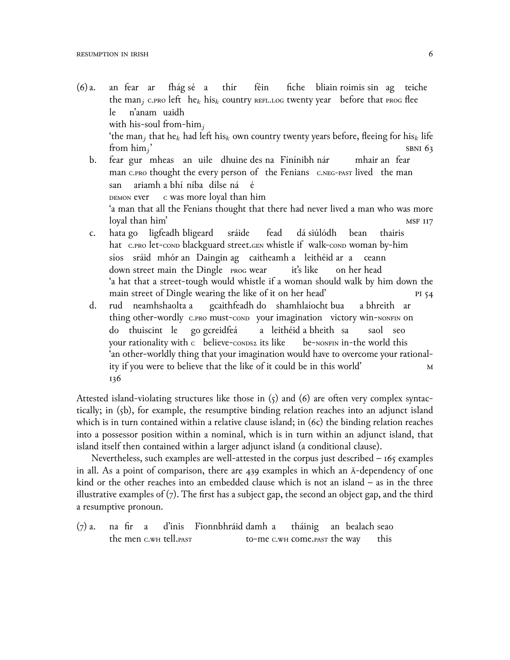- $(6)$  a. the man<sub>j</sub> c.pro left  $\;{\rm he}_k \;{\rm his}_k \;{\rm country}$  refl.log twenty year  $\;$  before that prog flee fear ar fhág sé a thír féin fiche bliain roimis sin ag teiche le with his-soul from-him*<sup>j</sup>* n'anam uaidh 'the man*<sup>j</sup>* that he*<sup>k</sup>* had left his*<sup>k</sup>* own country twenty years before, fleeing for his*<sup>k</sup>* life from him*<sup>j</sup>*  $\text{SBNI } 63$ b. fear gur mheas an uile dhuine des na Fínínibh nár mhair an fear
	- man c.pro thought the every person of the Fenians c.neg-past lived the man san demon ever ariamh a bhí níba dílse ná é c was more loyal than him 'a man that all the Fenians thought that there had never lived a man who was more loyal than him' method is a set of the set of the set of the set of the set of the set of the set of the set of the set of the set of the set of the set of the set of the set of the set of the set of the set of the set of
	- c. hata go ligfeadh bligeard hat c.pro let-cond blackguard street.gen whistle if walk-cond woman by-him sráide fead dá siúlódh bean thairis síos sráid mhór an Daingin ag caitheamh a leithéid ar a ceann down street main the Dingle prog wear it's like on her head 'a hat that a street-tough would whistle if a woman should walk by him down the main street of Dingle wearing the like of it on her head' pi 54
	- d. rud neamhshaolta a thing other-wordly c.pro must-cond your imagination victory win-NONFIN on gcaithfeadh do shamhlaíocht bua a bhreith ar do thuiscint le go gcreidfeá your rationality with  $\,\text{c}$  believe-conds2 its like a leithéid a bheith sa be- $\mu$ onfin in-the world this saol seo 'an other-worldly thing that your imagination would have to overcome your rationality if you were to believe that the like of it could be in this world' M 136

Attested island-violating structures like those in (5) and (6) are often very complex syntactically; in (5b), for example, the resumptive binding relation reaches into an adjunct island which is in turn contained within a relative clause island; in (6c) the binding relation reaches into a possessor position within a nominal, which is in turn within an adjunct island, that island itself then contained within a larger adjunct island (a conditional clause).

Nevertheless, such examples are well-attested in the corpus just described – 165 examples in all. As a point of comparison, there are 439 examples in which an ā-dependency of one kind or the other reaches into an embedded clause which is not an island – as in the three illustrative examples of (7). The first has a subject gap, the second an object gap, and the third a resumptive pronoun.

 $(7)$  a. the men c.w<mark>h tell.past</mark> fir a d'inis Fionnbhráid damh a to-me c.wн come.past the way tháinig an bealach seao this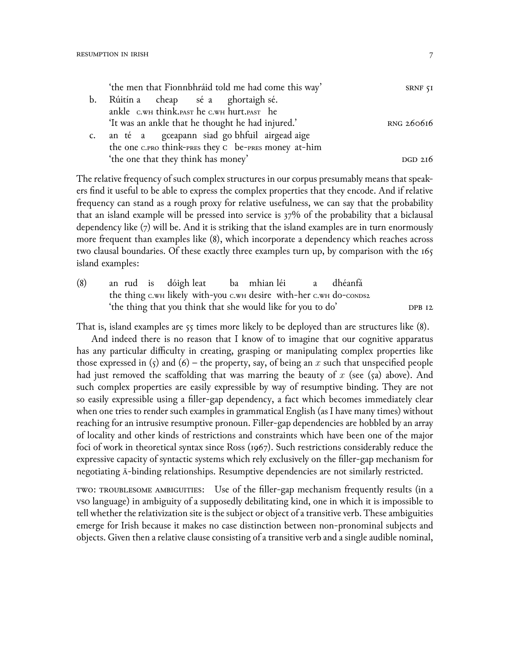|                | 'the men that Fionnbhráid told me had come this way' | SRNF <sub>51</sub> |
|----------------|------------------------------------------------------|--------------------|
| b.             | Rúitín a cheap sé a ghortaigh sé.                    |                    |
|                | ankle C.WH think.PAST he C.WH hurt.PAST he           |                    |
|                | 'It was an ankle that he thought he had injured.'    | RNG 260616         |
| $\mathsf{C}$ . | an té a gceapann siad go bhfuil airgead aige         |                    |
|                | the one c.PRO think-PRES they C be-PRES money at-him |                    |
|                | 'the one that they think has money'                  | $DGD$ 216          |

The relative frequency of such complex structures in our corpus presumably means that speakers find it useful to be able to express the complex properties that they encode. And if relative frequency can stand as a rough proxy for relative usefulness, we can say that the probability that an island example will be pressed into service is 37% of the probability that a biclausal dependency like (7) will be. And it is striking that the island examples are in turn enormously more frequent than examples like (8), which incorporate a dependency which reaches across two clausal boundaries. Of these exactly three examples turn up, by comparison with the 165 island examples:

 $(8)$ the thing с.wн likely with-you с.wн desire with-her с.wн do-сомоз2 rud is dóigh leat ba mhian léi a dhéanfá 'the thing that you think that she would like for you to do' DPB 12

That is, island examples are  $55$  times more likely to be deployed than are structures like (8).

And indeed there is no reason that I know of to imagine that our cognitive apparatus has any particular difficulty in creating, grasping or manipulating complex properties like those expressed in  $(5)$  and  $(6)$  – the property, say, of being an x such that unspecified people had just removed the scaffolding that was marring the beauty of *x* (see (5a) above). And such complex properties are easily expressible by way of resumptive binding. They are not so easily expressible using a filler-gap dependency, a fact which becomes immediately clear when one tries to render such examples in grammatical English (as I have many times) without reaching for an intrusive resumptive pronoun. Filler-gap dependencies are hobbled by an array of locality and other kinds of restrictions and constraints which have been one of the major foci of work in theoretical syntax since Ross (1967). Such restrictions considerably reduce the expressive capacity of syntactic systems which rely exclusively on the filler-gap mechanism for negotiating ā-binding relationships. Resumptive dependencies are not similarly restricted.

TWO: TROUBLESOME AMBIGUITIES: Use of the filler-gap mechanism frequently results (in a vso language) in ambiguity of a supposedly debilitating kind, one in which it is impossible to tell whether the relativization site is the subject or object of a transitive verb. These ambiguities emerge for Irish because it makes no case distinction between non-pronominal subjects and objects. Given then a relative clause consisting of a transitive verb and a single audible nominal,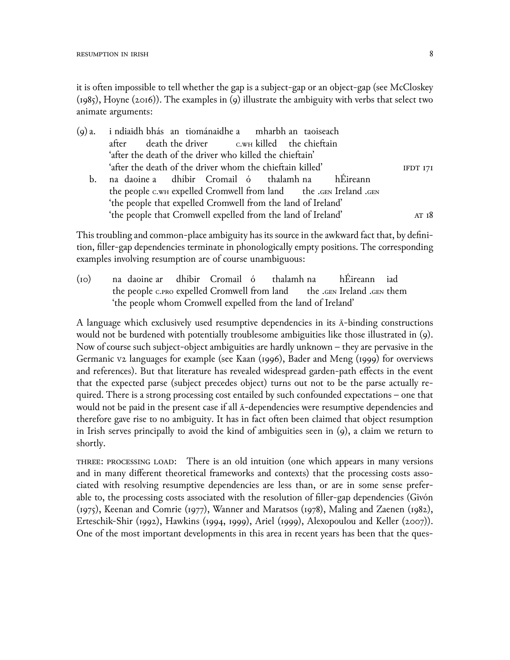it is often impossible to tell whether the gap is a subject-gap or an object-gap (see McCloskey  $(1985)$ , Hoyne  $(2016)$ ). The examples in  $(9)$  illustrate the ambiguity with verbs that select two animate arguments:

|    | (9) a. i ndiaidh bhás an tiománaidhe a mharbh an taoiseach        |          |
|----|-------------------------------------------------------------------|----------|
|    | after death the driver c.wH killed the chieftain                  |          |
|    | 'after the death of the driver who killed the chieftain'          |          |
|    | 'after the death of the driver whom the chieftain killed'         | IFDT 171 |
| b. | na daoine a dhíbir Cromail ó thalamh na hÉireann                  |          |
|    | the people c.wH expelled Cromwell from land the .GEN Ireland .GEN |          |
|    | 'the people that expelled Cromwell from the land of Ireland'      |          |
|    | 'the people that Cromwell expelled from the land of Ireland'      | AT $18$  |
|    |                                                                   |          |

This troubling and common-place ambiguity has its source in the awkward fact that, by definition, filler-gap dependencies terminate in phonologically empty positions. The corresponding examples involving resumption are of course unambiguous:

 $(i<sub>O</sub>)$ the people c.pro expelled Cromwell from land daoine ar dhíbir Cromail ó thalamh na the .gen Ireland .gen them hÉireann iad 'the people whom Cromwell expelled from the land of Ireland'

A language which exclusively used resumptive dependencies in its ā-binding constructions would not be burdened with potentially troublesome ambiguities like those illustrated in (9). Now of course such subject-object ambiguities are hardly unknown – they are pervasive in the Germanic v2 languages for example (see Kaan (1996), Bader and Meng (1999) for overviews and references). But that literature has revealed widespread garden-path effects in the event that the expected parse (subject precedes object) turns out not to be the parse actually required. There is a strong processing cost entailed by such confounded expectations – one that would not be paid in the present case if all ā-dependencies were resumptive dependencies and therefore gave rise to no ambiguity. It has in fact often been claimed that object resumption in Irish serves principally to avoid the kind of ambiguities seen in (9), a claim we return to shortly.

three: processing load: There is an old intuition (one which appears in many versions and in many different theoretical frameworks and contexts) that the processing costs associated with resolving resumptive dependencies are less than, or are in some sense preferable to, the processing costs associated with the resolution of filler-gap dependencies (Givón (1975), Keenan and Comrie (1977), Wanner and Maratsos (1978), Maling and Zaenen (1982), Erteschik-Shir (1992), Hawkins (1994, 1999), Ariel (1999), Alexopoulou and Keller (2007)). One of the most important developments in this area in recent years has been that the ques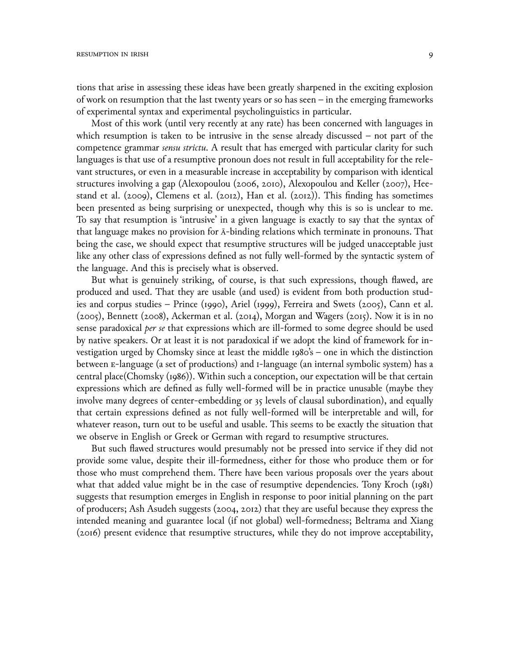tions that arise in assessing these ideas have been greatly sharpened in the exciting explosion of work on resumption that the last twenty years or so has seen – in the emerging frameworks of experimental syntax and experimental psycholinguistics in particular.

Most of this work (until very recently at any rate) has been concerned with languages in which resumption is taken to be intrusive in the sense already discussed – not part of the competence grammar *sensu strictu*. A result that has emerged with particular clarity for such languages is that use of a resumptive pronoun does not result in full acceptability for the relevant structures, or even in a measurable increase in acceptability by comparison with identical structures involving a gap (Alexopoulou (2006, 2010), Alexopoulou and Keller (2007), Heestand et al. (2009), Clemens et al. (2012), Han et al. (2012)). This finding has sometimes been presented as being surprising or unexpected, though why this is so is unclear to me. To say that resumption is 'intrusive' in a given language is exactly to say that the syntax of that language makes no provision for ā-binding relations which terminate in pronouns. That being the case, we should expect that resumptive structures will be judged unacceptable just like any other class of expressions defined as not fully well-formed by the syntactic system of the language. And this is precisely what is observed.

But what is genuinely striking, of course, is that such expressions, though flawed, are produced and used. That they are usable (and used) is evident from both production studies and corpus studies – Prince (1990), Ariel (1999), Ferreira and Swets (2005), Cann et al. (2ெெ5), Bennett (2ெெ8), Ackerman et al. (2ெ14), Morgan and Wagers (2ெ15). Now it is in no sense paradoxical *per se* that expressions which are ill-formed to some degree should be used by native speakers. Or at least it is not paradoxical if we adopt the kind of framework for investigation urged by Chomsky since at least the middle 1980's – one in which the distinction between e-language (a set of productions) and i-language (an internal symbolic system) has a central place(Chomsky (1986)). Within such a conception, our expectation will be that certain expressions which are defined as fully well-formed will be in practice unusable (maybe they involve many degrees of center-embedding or 35 levels of clausal subordination), and equally that certain expressions defined as not fully well-formed will be interpretable and will, for whatever reason, turn out to be useful and usable. This seems to be exactly the situation that we observe in English or Greek or German with regard to resumptive structures.

But such flawed structures would presumably not be pressed into service if they did not provide some value, despite their ill-formedness, either for those who produce them or for those who must comprehend them. There have been various proposals over the years about what that added value might be in the case of resumptive dependencies. Tony Kroch (1981) suggests that resumption emerges in English in response to poor initial planning on the part of producers; Ash Asudeh suggests (2004, 2012) that they are useful because they express the intended meaning and guarantee local (if not global) well-formedness; Beltrama and Xiang (2ெ16) present evidence that resumptive structures, while they do not improve acceptability,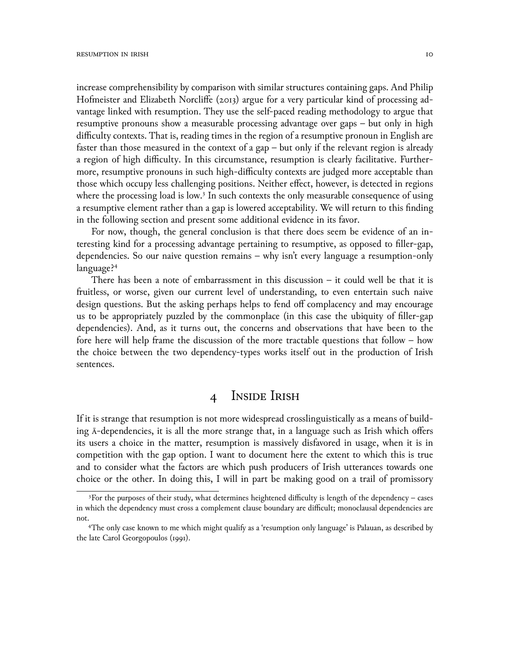increase comprehensibility by comparison with similar structures containing gaps. And Philip Hofmeister and Elizabeth Norcliffe (2013) argue for a very particular kind of processing advantage linked with resumption. They use the self-paced reading methodology to argue that resumptive pronouns show a measurable processing advantage over gaps – but only in high difficulty contexts. That is, reading times in the region of a resumptive pronoun in English are faster than those measured in the context of a gap – but only if the relevant region is already a region of high difficulty. In this circumstance, resumption is clearly facilitative. Furthermore, resumptive pronouns in such high-difficulty contexts are judged more acceptable than those which occupy less challenging positions. Neither effect, however, is detected in regions where the processing load is low.<sup>3</sup> In such contexts the only measurable consequence of using a resumptive element rather than a gap is lowered acceptability. We will return to this finding in the following section and present some additional evidence in its favor.

For now, though, the general conclusion is that there does seem be evidence of an interesting kind for a processing advantage pertaining to resumptive, as opposed to filler-gap, dependencies. So our naive question remains – why isn't every language a resumption-only language?<sup>4</sup>

There has been a note of embarrassment in this discussion  $-$  it could well be that it is fruitless, or worse, given our current level of understanding, to even entertain such naive design questions. But the asking perhaps helps to fend off complacency and may encourage us to be appropriately puzzled by the commonplace (in this case the ubiquity of filler-gap dependencies). And, as it turns out, the concerns and observations that have been to the fore here will help frame the discussion of the more tractable questions that follow – how the choice between the two dependency-types works itself out in the production of Irish sentences.

# 4 Inside Irish

If it is strange that resumption is not more widespread crosslinguistically as a means of building ā-dependencies, it is all the more strange that, in a language such as Irish which offers its users a choice in the matter, resumption is massively disfavored in usage, when it is in competition with the gap option. I want to document here the extent to which this is true and to consider what the factors are which push producers of Irish utterances towards one choice or the other. In doing this, I will in part be making good on a trail of promissory

 $3$ For the purposes of their study, what determines heightened difficulty is length of the dependency – cases in which the dependency must cross a complement clause boundary are difficult; monoclausal dependencies are not.

<sup>4</sup>The only case known to me which might qualify as a 'resumption only language' is Palauan, as described by the late Carol Georgopoulos (1991).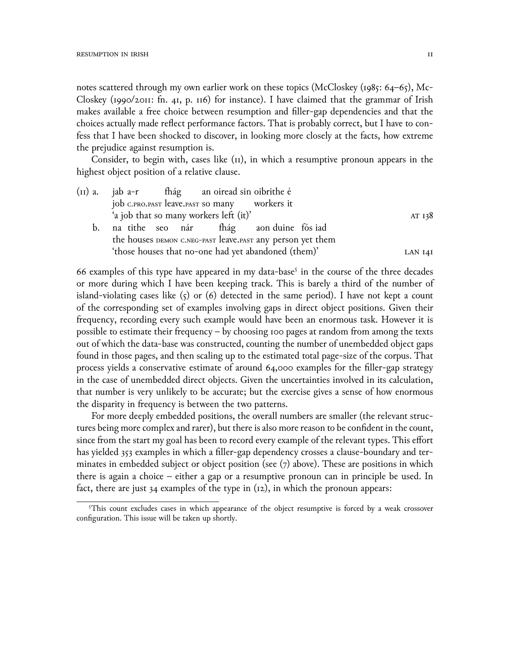notes scattered through my own earlier work on these topics (McCloskey (1985: 64–65), Mc-Closkey (1990/2011: fn. 41, p. 116) for instance). I have claimed that the grammar of Irish makes available a free choice between resumption and filler-gap dependencies and that the choices actually made reflect performance factors. That is probably correct, but I have to confess that I have been shocked to discover, in looking more closely at the facts, how extreme the prejudice against resumption is.

Consider, to begin with, cases like (II), in which a resumptive pronoun appears in the highest object position of a relative clause.

|    |                                                     |  |  | (II) a. jab a-r fhág an oiread sin oibrithe é              |  |         |        |
|----|-----------------------------------------------------|--|--|------------------------------------------------------------|--|---------|--------|
|    |                                                     |  |  | job C.PRO.PAST leave.PAST SO many workers it               |  |         |        |
|    |                                                     |  |  | 'a job that so many workers left (it)'                     |  |         | AT 138 |
| b. |                                                     |  |  | na tithe seo nár fhág aon duine fós iad                    |  |         |        |
|    |                                                     |  |  | the houses DEMON C.NEG-PAST leave.PAST any person yet them |  |         |        |
|    | 'those houses that no-one had yet abandoned (them)' |  |  |                                                            |  | LAN 141 |        |
|    |                                                     |  |  |                                                            |  |         |        |

66 examples of this type have appeared in my data-base<sup>5</sup> in the course of the three decades or more during which I have been keeping track. This is barely a third of the number of island-violating cases like  $(5)$  or  $(6)$  detected in the same period). I have not kept a count of the corresponding set of examples involving gaps in direct object positions. Given their frequency, recording every such example would have been an enormous task. However it is possible to estimate their frequency – by choosing 100 pages at random from among the texts out of which the data-base was constructed, counting the number of unembedded object gaps found in those pages, and then scaling up to the estimated total page-size of the corpus. That process yields a conservative estimate of around  $64,000$  examples for the filler-gap strategy in the case of unembedded direct objects. Given the uncertainties involved in its calculation, that number is very unlikely to be accurate; but the exercise gives a sense of how enormous the disparity in frequency is between the two patterns.

For more deeply embedded positions, the overall numbers are smaller (the relevant structures being more complex and rarer), but there is also more reason to be confident in the count, since from the start my goal has been to record every example of the relevant types. This effort has yielded 353 examples in which a filler-gap dependency crosses a clause-boundary and terminates in embedded subject or object position (see  $(7)$  above). These are positions in which there is again a choice – either a gap or a resumptive pronoun can in principle be used. In fact, there are just 34 examples of the type in (12), in which the pronoun appears:

<sup>5</sup>This count excludes cases in which appearance of the object resumptive is forced by a weak crossover configuration. This issue will be taken up shortly.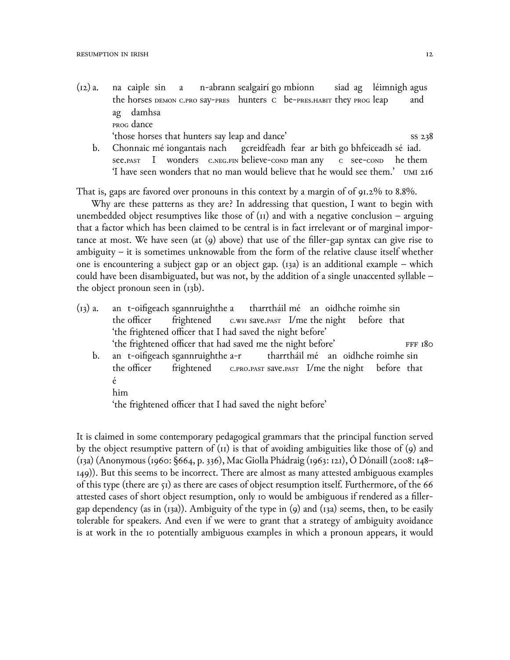- $(i2)$  a. the horses demon c.pro say-pres hunters che-pres.habit they progleap caiple sin a n-abrann sealgairí go mbíonn siad ag léimnigh agus and ag damhsa prog dance 'those horses that hunters say leap and dance' ss 238
	- b. Chonnaic mé iongantais nach see.past I wonders c.neg.fin believe-cond man any gcreidfeadh fear ar bith go bhfeiceadh sé iad. c see-cond he them 'I have seen wonders that no man would believe that he would see them.' umi 216

That is, gaps are favored over pronouns in this context by a margin of of 91.2% to 8.8%.

Why are these patterns as they are? In addressing that question, I want to begin with unembedded object resumptives like those of  $(i)$  and with a negative conclusion – arguing that a factor which has been claimed to be central is in fact irrelevant or of marginal importance at most. We have seen (at (9) above) that use of the filler-gap syntax can give rise to ambiguity – it is sometimes unknowable from the form of the relative clause itself whether one is encountering a subject gap or an object gap. (13a) is an additional example – which could have been disambiguated, but was not, by the addition of a single unaccented syllable – the object pronoun seen in (13b).

- $(i_3)$  a. the officer t-oifigeach sgannruighthe a frightened с.wн save.pasт I/me the night before that tharrtháil mé an oidhche roimhe sin 'the frightened officer that I had saved the night before' 'the frightened officer that had saved me the night before' FFF 180
	- b. an t-oifigeach sgannruighthe a-r the officer frightened c.pro.past save.past I/me the night before that tharrtháil mé an oidhche roimhe sin é
		- him

'the frightened officer that I had saved the night before'

It is claimed in some contemporary pedagogical grammars that the principal function served by the object resumptive pattern of (11) is that of avoiding ambiguities like those of (9) and (13a) (Anonymous (1960: §664, p. 336), Mac Giolla Phádraig (1963: 121), Ó Dónaill (2008: 148– 149)). But this seems to be incorrect. There are almost as many attested ambiguous examples of this type (there are 51) as there are cases of object resumption itself. Furthermore, of the 66 attested cases of short object resumption, only 10 would be ambiguous if rendered as a fillergap dependency (as in (13a)). Ambiguity of the type in (9) and (13a) seems, then, to be easily tolerable for speakers. And even if we were to grant that a strategy of ambiguity avoidance is at work in the 10 potentially ambiguous examples in which a pronoun appears, it would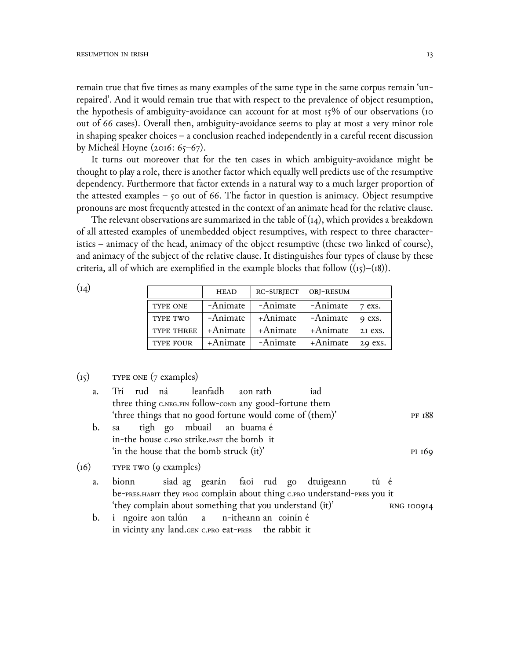remain true that five times as many examples of the same type in the same corpus remain 'unrepaired'. And it would remain true that with respect to the prevalence of object resumption, the hypothesis of ambiguity-avoidance can account for at most 15% of our observations (10 out of 66 cases). Overall then, ambiguity-avoidance seems to play at most a very minor role in shaping speaker choices  $-$  a conclusion reached independently in a careful recent discussion by Mícheál Hoyne (2016: 65–67).

It turns out moreover that for the ten cases in which ambiguity-avoidance might be thought to play a role, there is another factor which equally well predicts use of the resumptive dependency. Furthermore that factor extends in a natural way to a much larger proportion of the attested examples  $-$  50 out of 66. The factor in question is animacy. Object resumptive pronouns are most frequently attested in the context of an animate head for the relative clause.

The relevant observations are summarized in the table of  $(i<sub>4</sub>)$ , which provides a breakdown of all attested examples of unembedded object resumptives, with respect to three characteristics – animacy of the head, animacy of the object resumptive (these two linked of course), and animacy of the subject of the relative clause. It distinguishes four types of clause by these criteria, all of which are exemplified in the example blocks that follow  $((15)-(18))$ .

 $(I_4)$ 

|                  | <b>HEAD</b> | RC-SUBJECT | OBJ-RESUM |         |
|------------------|-------------|------------|-----------|---------|
| <b>TYPE ONE</b>  | -Animate    | -Animate   | -Animate  | 7 exs.  |
| TYPE TWO         | -Animate    | +Animate   | -Animate  | 9 exs.  |
| TYPE THREE       | +Animate    | +Animate   | +Animate  | 21 exs. |
| <b>TYPE FOUR</b> | +Animate    | -Animate   | +Animate  | 29 exs. |

#### $(I_5)$ TYPE ONE (7 examples)

| a.   | Trí rud ná leanfadh aon-rath                             |                           |  |  | iad                                                                       |  |                   |
|------|----------------------------------------------------------|---------------------------|--|--|---------------------------------------------------------------------------|--|-------------------|
|      | three thing C.NEG.FIN follow-conp any good-fortune them  |                           |  |  |                                                                           |  |                   |
|      | 'three things that no good fortune would come of (them)' |                           |  |  |                                                                           |  | PF 188            |
| b.   | sa                                                       | tigh go mbuail an buama é |  |  |                                                                           |  |                   |
|      | in-the house c.pro strike.past the bomb it               |                           |  |  |                                                                           |  |                   |
|      | 'in the house that the bomb struck (it)'                 |                           |  |  |                                                                           |  | PI 169            |
| (16) | TYPE TWO (9 examples)                                    |                           |  |  |                                                                           |  |                   |
| a.   | bionn                                                    |                           |  |  | siad ag gearán faoi rud go dtuigeann tú é                                 |  |                   |
|      |                                                          |                           |  |  | be-PRES.HABIT they PROG complain about thing C.PRO understand-PRES you it |  |                   |
|      | 'they complain about something that you understand (it)' |                           |  |  |                                                                           |  | <b>RNG IOO9I4</b> |
| b.   | i ngoire aon talún a n-itheann an coinín é               |                           |  |  |                                                                           |  |                   |

in vicinty any land. GEN C.PRO eat-PRES the rabbit it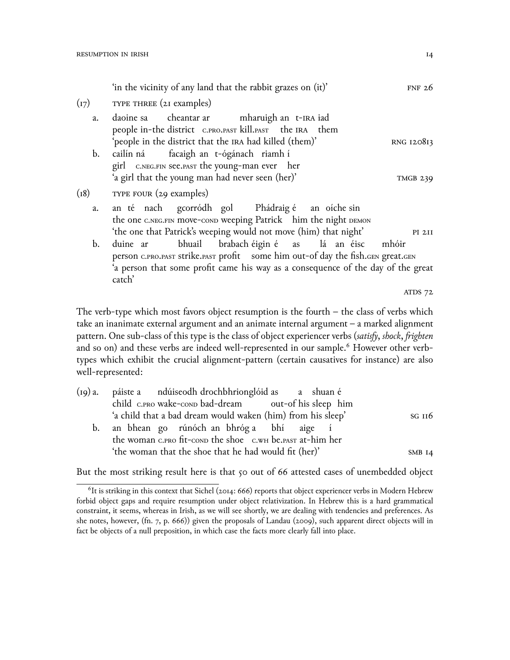|                | 'in the vicinity of any land that the rabbit grazes on (it)'                                                                                                                                                                      | FNF $26$        |
|----------------|-----------------------------------------------------------------------------------------------------------------------------------------------------------------------------------------------------------------------------------|-----------------|
| (I7)           | TYPE THREE (21 examples)                                                                                                                                                                                                          |                 |
| a.             | daoine sa cheantar ar mharuigh an t-IRA iad<br>people in-the district C.PRO.PAST kill.PAST the IRA them<br>'people in the district that the IRA had killed (them)'                                                                | RNG 120813      |
| $\mathbf{b}$ . | cailín ná facaigh an t-ógánach riamh í<br>girl C.NEG.FIN See.PAST the young-man ever her<br>'a girl that the young man had never seen (her)'                                                                                      | <b>TMGB 239</b> |
| (18)           | TYPE FOUR (29 examples)                                                                                                                                                                                                           |                 |
| a.             | an té nach gcorródh gol Phádraig é an oíche sin<br>the one C.NEG.FIN move-cond weeping Patrick him the night DEMON<br>'the one that Patrick's weeping would not move (him) that night'                                            | PI 211          |
| $\mathbf{b}$ . | bhuail brabach éigin é as lá an éisc<br>duine ar<br>person C.PRO.PAST Strike.PAST profit some him out-of day the fish.GEN great.GEN<br>'a person that some profit came his way as a consequence of the day of the great<br>catch' | mhóir           |
|                |                                                                                                                                                                                                                                   |                 |

ATDS 72

The verb-type which most favors object resumption is the fourth  $-$  the class of verbs which take an inanimate external argument and an animate internal argument – a marked alignment pattern. One sub-class of this type is the class of object experiencer verbs (*satisfy*, *shock*, *frighten* and so on) and these verbs are indeed well-represented in our sample.<sup>6</sup> However other verbtypes which exhibit the crucial alignment-pattern (certain causatives for instance) are also well-represented:

| (19) a. páiste a ndúiseodh drochbhrionglóid as a shuan é    |            |
|-------------------------------------------------------------|------------|
| child c.PRO wake-conp bad-dream out-of his sleep him        |            |
| 'a child that a bad dream would waken (him) from his sleep' | $SG$ $II6$ |
| b. an bhean go rúnóch an bhróg a bhí aige í                 |            |
| the woman c.PRO fit-conp the shoe c.WH be.PAST at-him her   |            |
| 'the woman that the shoe that he had would fit (her)'       | SMB $14$   |

But the most striking result here is that 50 out of 66 attested cases of unembedded object

 $^6$ It is striking in this context that Sichel (2014: 666) reports that object experiencer verbs in Modern Hebrew forbid object gaps and require resumption under object relativization. In Hebrew this is a hard grammatical constraint, it seems, whereas in Irish, as we will see shortly, we are dealing with tendencies and preferences. As she notes, however,  $(\text{fn. 7, p. } 666)$  given the proposals of Landau (2009), such apparent direct objects will in fact be objects of a null preposition, in which case the facts more clearly fall into place.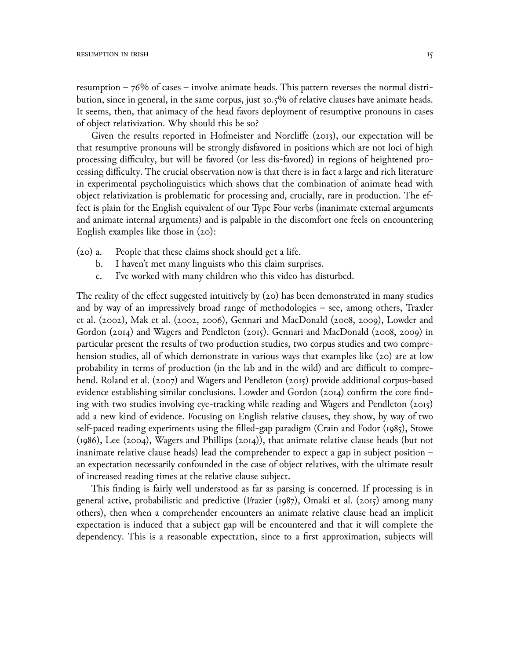resumption  $-76\%$  of cases – involve animate heads. This pattern reverses the normal distribution, since in general, in the same corpus, just 30.5% of relative clauses have animate heads. It seems, then, that animacy of the head favors deployment of resumptive pronouns in cases of object relativization. Why should this be so?

Given the results reported in Hofmeister and Norcliffe (2013), our expectation will be that resumptive pronouns will be strongly disfavored in positions which are not loci of high processing difficulty, but will be favored (or less dis-favored) in regions of heightened processing difficulty. The crucial observation now is that there is in fact a large and rich literature in experimental psycholinguistics which shows that the combination of animate head with object relativization is problematic for processing and, crucially, rare in production. The effect is plain for the English equivalent of our Type Four verbs (inanimate external arguments and animate internal arguments) and is palpable in the discomfort one feels on encountering English examples like those in  $(20)$ :

- People that these claims shock should get a life.  $(20)$  a.
	- I haven't met many linguists who this claim surprises.  $\mathbf{b}$ .
	- I've worked with many children who this video has disturbed.  $\mathsf{C}$ .

The reality of the effect suggested intuitively by  $(20)$  has been demonstrated in many studies and by way of an impressively broad range of methodologies - see, among others, Traxler et al. (2002), Mak et al. (2002, 2006), Gennari and MacDonald (2008, 2009), Lowder and Gordon (2014) and Wagers and Pendleton (2015). Gennari and MacDonald (2008, 2009) in particular present the results of two production studies, two corpus studies and two comprehension studies, all of which demonstrate in various ways that examples like (20) are at low probability in terms of production (in the lab and in the wild) and are difficult to comprehend. Roland et al. (2007) and Wagers and Pendleton (2015) provide additional corpus-based evidence establishing similar conclusions. Lowder and Gordon (2014) confirm the core finding with two studies involving eye-tracking while reading and Wagers and Pendleton (2015) add a new kind of evidence. Focusing on English relative clauses, they show, by way of two self-paced reading experiments using the filled-gap paradigm (Crain and Fodor (1985), Stowe  $(1986)$ , Lee  $(2004)$ , Wagers and Phillips  $(2014)$ , that animate relative clause heads (but not inanimate relative clause heads) lead the comprehender to expect a gap in subject position an expectation necessarily confounded in the case of object relatives, with the ultimate result of increased reading times at the relative clause subject.

This finding is fairly well understood as far as parsing is concerned. If processing is in general active, probabilistic and predictive (Frazier (1987), Omaki et al. (2015) among many others), then when a comprehender encounters an animate relative clause head an implicit expectation is induced that a subject gap will be encountered and that it will complete the dependency. This is a reasonable expectation, since to a first approximation, subjects will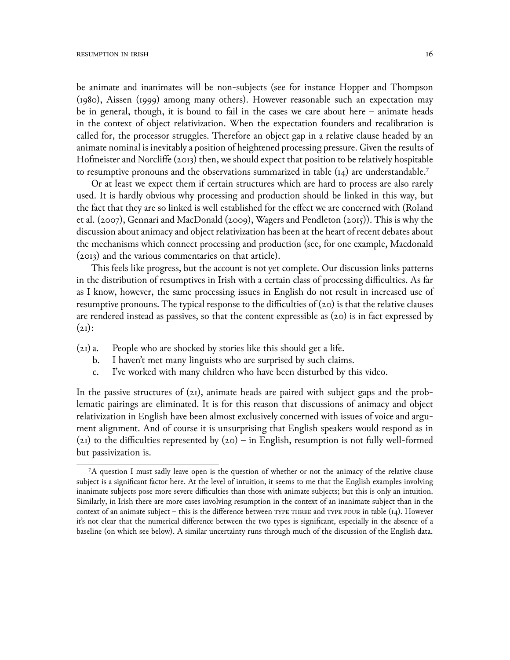be animate and inanimates will be non-subjects (see for instance Hopper and Thompson (198ெ), Aissen (1999) among many others). However reasonable such an expectation may be in general, though, it is bound to fail in the cases we care about here – animate heads in the context of object relativization. When the expectation founders and recalibration is called for, the processor struggles. Therefore an object gap in a relative clause headed by an animate nominal is inevitably a position of heightened processing pressure. Given the results of Hofmeister and Norcliffe (2013) then, we should expect that position to be relatively hospitable to resumptive pronouns and the observations summarized in table  $(14)$  are understandable.<sup>7</sup>

Or at least we expect them if certain structures which are hard to process are also rarely used. It is hardly obvious why processing and production should be linked in this way, but the fact that they are so linked is well established for the effect we are concerned with (Roland et al. (2007), Gennari and MacDonald (2009), Wagers and Pendleton (2015)). This is why the discussion about animacy and object relativization has been at the heart of recent debates about the mechanisms which connect processing and production (see, for one example, Macdonald (2ெ13) and the various commentaries on that article).

This feels like progress, but the account is not yet complete. Our discussion links patterns in the distribution of resumptives in Irish with a certain class of processing difficulties. As far as I know, however, the same processing issues in English do not result in increased use of resumptive pronouns. The typical response to the difficulties of  $(20)$  is that the relative clauses are rendered instead as passives, so that the content expressible as  $(20)$  is in fact expressed by  $(21)$ :

- (21) a. People who are shocked by stories like this should get a life.
	- b. I haven't met many linguists who are surprised by such claims.
	- c. I've worked with many children who have been disturbed by this video.

In the passive structures of  $(21)$ , animate heads are paired with subject gaps and the problematic pairings are eliminated. It is for this reason that discussions of animacy and object relativization in English have been almost exclusively concerned with issues of voice and argument alignment. And of course it is unsurprising that English speakers would respond as in (21) to the difficulties represented by  $(20)$  – in English, resumption is not fully well-formed but passivization is.

<sup>7</sup>A question I must sadly leave open is the question of whether or not the animacy of the relative clause subject is a significant factor here. At the level of intuition, it seems to me that the English examples involving inanimate subjects pose more severe difficulties than those with animate subjects; but this is only an intuition. Similarly, in Irish there are more cases involving resumption in the context of an inanimate subject than in the context of an animate subject – this is the difference between TYPE THREE and TYPE FOUR in table  $(i, 4)$ . However it's not clear that the numerical difference between the two types is significant, especially in the absence of a baseline (on which see below). A similar uncertainty runs through much of the discussion of the English data.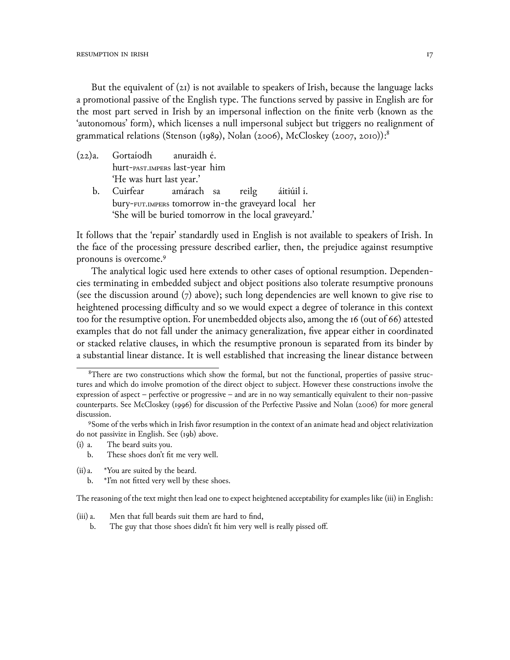But the equivalent of  $(z_1)$  is not available to speakers of Irish, because the language lacks a promotional passive of the English type. The functions served by passive in English are for the most part served in Irish by an impersonal inflection on the finite verb (known as the 'autonomous' form), which licenses a null impersonal subject but triggers no realignment of grammatical relations (Stenson (1989), Nolan (2006), McCloskey (2007, 2010)):<sup>8</sup>

- $(22)a.$ Gortaíodh anuraidh é. hurt-PAST.IMPERS last-year him 'He was hurt last year.'
	- amárach sa  $\mathbf{b}$ . Cuirfear reilg áitiúil í. bury-FUT.IMPERS tomorrow in-the graveyard local her 'She will be buried tomorrow in the local graveyard.'

It follows that the 'repair' standardly used in English is not available to speakers of Irish. In the face of the processing pressure described earlier, then, the prejudice against resumptive pronouns is overcome.<sup>9</sup>

The analytical logic used here extends to other cases of optional resumption. Dependencies terminating in embedded subject and object positions also tolerate resumptive pronouns (see the discussion around  $(7)$  above); such long dependencies are well known to give rise to heightened processing difficulty and so we would expect a degree of tolerance in this context too for the resumptive option. For unembedded objects also, among the 16 (out of 66) attested examples that do not fall under the animacy generalization, five appear either in coordinated or stacked relative clauses, in which the resumptive pronoun is separated from its binder by a substantial linear distance. It is well established that increasing the linear distance between

- The beard suits you.  $(i)$  a.
	- These shoes don't fit me very well.  $\mathbf{b}$ .
- $(ii)$  a. \*You are suited by the beard.
	- \*I'm not fitted very well by these shoes.  $\mathbf{b}$ .

The reasoning of the text might then lead one to expect heightened acceptability for examples like (iii) in English:

- $(iii)$  a. Men that full beards suit them are hard to find,
	- The guy that those shoes didn't fit him very well is really pissed off.  $<sub>b</sub>$ .</sub>

<sup>&</sup>lt;sup>8</sup>There are two constructions which show the formal, but not the functional, properties of passive structures and which do involve promotion of the direct object to subject. However these constructions involve the expression of aspect - perfective or progressive - and are in no way semantically equivalent to their non-passive counterparts. See McCloskey (1996) for discussion of the Perfective Passive and Nolan (2006) for more general discussion.

<sup>9</sup>Some of the verbs which in Irish favor resumption in the context of an animate head and object relativization do not passivize in English. See (19b) above.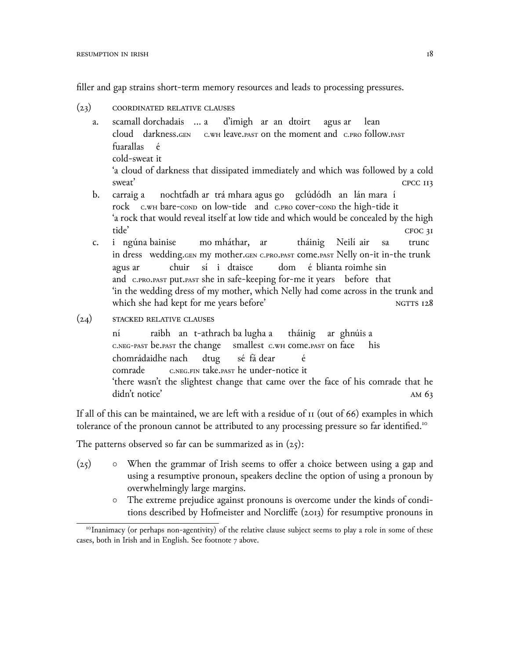filler and gap strains short-term memory resources and leads to processing pressures.

- $(23)$  COORDINATED RELATIVE CLAUSES
	- a. scamall dorchadais … a cloud darkness.gen c.wн leave.past on the moment and c.pro follow.past d'imigh ar an dtoirt agus ar lean fuarallas cold-sweat it é 'a cloud of darkness that dissipated immediately and which was followed by a cold sweat' CPCC 113
	- b. carraig a rock c.wн bare-cond on low-tide and c.pro cover-cond the high-tide it nochtfadh ar trá mhara agus go gclúdódh an lán mara í 'a rock that would reveal itself at low tide and which would be concealed by the high tide' croc 31
	- c. in dress wedding.gen my mother.gen c.pro.past come.past Nelly on-it in-the trunk ngúna bainise mo mháthar, ar tháinig Neilí air sa trunc agus ar and c.pro.past put.past she in safe-keeping for-me it years before that chuir sí i dtaisce dom é blianta roimhe sin 'in the wedding dress of my mother, which Nelly had come across in the trunk and which she had kept for me years before' NGTTS 128
- $(24)$  STACKED RELATIVE CLAUSES

ní c.neg-past be.past the change raibh an t-athrach ba lugha a smallest с.wн come.past on face tháinig ar ghnúis a his chomrádaidhe nach comrade c.neg.fin take.past he under-notice it dtug sé fá dear é 'there wasn't the slightest change that came over the face of his comrade that he didn't notice' and  $\frac{1}{2}$  am 63

If all of this can be maintained, we are left with a residue of  $\pi$  (out of 66) examples in which tolerance of the pronoun cannot be attributed to any processing pressure so far identified.<sup>10</sup>

The patterns observed so far can be summarized as in  $(25)$ :

- (25) *◦* When the grammar of Irish seems to offer a choice between using a gap and using a resumptive pronoun, speakers decline the option of using a pronoun by overwhelmingly large margins.
	- *◦* The extreme prejudice against pronouns is overcome under the kinds of conditions described by Hofmeister and Norcliffe (2ெ13) for resumptive pronouns in

<sup>&</sup>lt;sup>10</sup>Inanimacy (or perhaps non-agentivity) of the relative clause subject seems to play a role in some of these cases, both in Irish and in English. See footnote 7 above.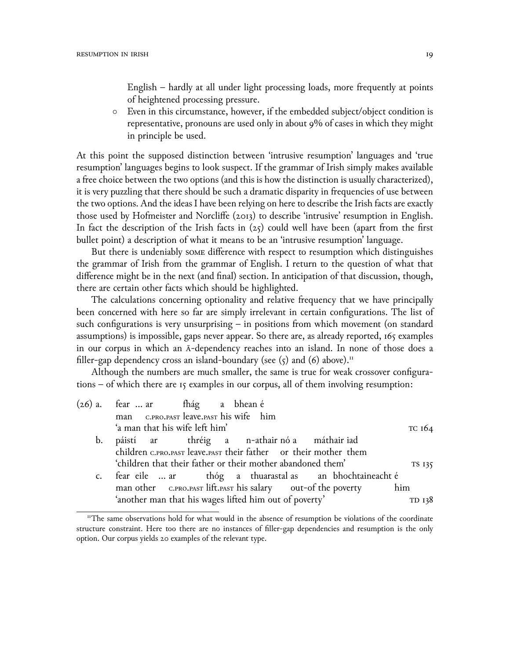English – hardly at all under light processing loads, more frequently at points of heightened processing pressure.

*◦* Even in this circumstance, however, if the embedded subject/object condition is representative, pronouns are used only in about 9% of cases in which they might in principle be used.

At this point the supposed distinction between 'intrusive resumption' languages and 'true resumption' languages begins to look suspect. If the grammar of Irish simply makes available a free choice between the two options (and this is how the distinction is usually characterized), it is very puzzling that there should be such a dramatic disparity in frequencies of use between the two options. And the ideas I have been relying on here to describe the Irish facts are exactly those used by Hofmeister and Norcliffe (2013) to describe 'intrusive' resumption in English. In fact the description of the Irish facts in  $(z_5)$  could well have been (apart from the first bullet point) a description of what it means to be an 'intrusive resumption' language.

But there is undeniably some difference with respect to resumption which distinguishes the grammar of Irish from the grammar of English. I return to the question of what that difference might be in the next (and final) section. In anticipation of that discussion, though, there are certain other facts which should be highlighted.

The calculations concerning optionality and relative frequency that we have principally been concerned with here so far are simply irrelevant in certain configurations. The list of such configurations is very unsurprising – in positions from which movement (on standard assumptions) is impossible, gaps never appear. So there are, as already reported, 165 examples in our corpus in which an ā-dependency reaches into an island. In none of those does a filler-gap dependency cross an island-boundary (see  $(5)$  and  $(6)$  above).<sup>11</sup>

Although the numbers are much smaller, the same is true for weak crossover configurations – of which there are 15 examples in our corpus, all of them involving resumption:

| (26) a. fear  ar fhág a bhean é                             |  |  |                                                                  |        |
|-------------------------------------------------------------|--|--|------------------------------------------------------------------|--------|
| man C.PRO.PAST leave.PAST his wife him                      |  |  |                                                                  |        |
| 'a man that his wife left him'                              |  |  |                                                                  | тс 164 |
| b. páistí ar thréig a n-athair-nó-a máthair-iad             |  |  |                                                                  |        |
|                                                             |  |  | children C.PRO.PAST leave.PAST their father or their mother them |        |
| 'children that their father or their mother abandoned them' |  |  |                                                                  | TS 135 |
|                                                             |  |  | c. fear eile  ar bhóg a thuarastal as an bhochtaineacht é        |        |
|                                                             |  |  | man other C.PRO.PAST lift.PAST his salary out-of the poverty     | him    |
| 'another man that his wages lifted him out of poverty'      |  |  |                                                                  | TD 138 |
|                                                             |  |  |                                                                  |        |

<sup>&</sup>lt;sup>11</sup>The same observations hold for what would in the absence of resumption be violations of the coordinate structure constraint. Here too there are no instances of filler-gap dependencies and resumption is the only option. Our corpus yields 2ெ examples of the relevant type.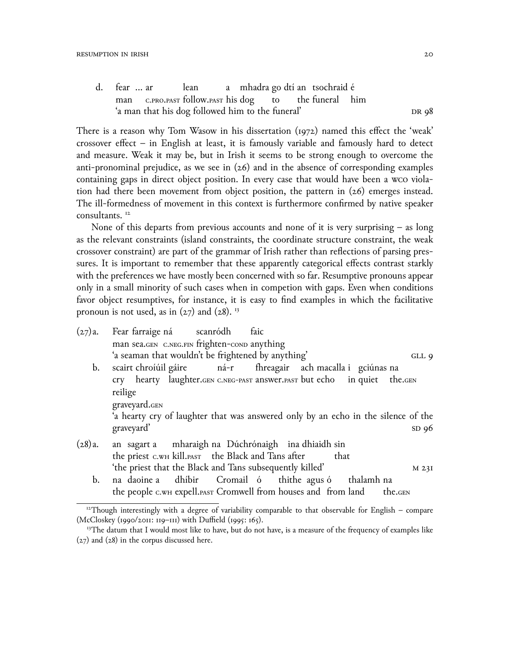d. fear … ar man c.pro.past follow.past his dog lean a mhadra go dtí an tsochraid é to the funeral him 'a man that his dog followed him to the funeral' dr 98

There is a reason why Tom Wasow in his dissertation (1972) named this effect the 'weak' crossover effect – in English at least, it is famously variable and famously hard to detect and measure. Weak it may be, but in Irish it seems to be strong enough to overcome the anti-pronominal prejudice, as we see in  $(26)$  and in the absence of corresponding examples containing gaps in direct object position. In every case that would have been a wco violation had there been movement from object position, the pattern in (26) emerges instead. The ill-formedness of movement in this context is furthermore confirmed by native speaker consultants. <sup>12</sup>

None of this departs from previous accounts and none of it is very surprising – as long as the relevant constraints (island constraints, the coordinate structure constraint, the weak crossover constraint) are part of the grammar of Irish rather than reflections of parsing pressures. It is important to remember that these apparently categorical effects contrast starkly with the preferences we have mostly been concerned with so far. Resumptive pronouns appear only in a small minority of such cases when in competion with gaps. Even when conditions favor object resumptives, for instance, it is easy to find examples in which the facilitative pronoun is not used, as in  $(27)$  and  $(28)$ . <sup>13</sup>

| (27)a.         | Fear farraige ná scanródh                                                         | faic |      |                  |
|----------------|-----------------------------------------------------------------------------------|------|------|------------------|
|                | man sea.GEN C.NEG.FIN frighten-conp anything                                      |      |      |                  |
|                | 'a seaman that wouldn't be frightened by anything'                                |      |      | GLL 9            |
| b.             | scairt chroíúil gáire ná-r fhreagair ach macalla i gciúnas na                     |      |      |                  |
|                | Cry hearty laughter.GEN C.NEG-PAST answer.PAST but echo in quiet the.GEN          |      |      |                  |
|                | reilige                                                                           |      |      |                  |
|                | graveyard.GEN                                                                     |      |      |                  |
|                | 'a hearty cry of laughter that was answered only by an echo in the silence of the |      |      |                  |
|                | graveyard'                                                                        |      |      | SD96             |
| (28)a.         | an sagart a mharaigh na Dúchrónaigh ina dhiaidh sin                               |      |      |                  |
|                | the priest c.wH kill. PAST the Black and Tans after                               |      | that |                  |
|                | 'the priest that the Black and Tans subsequently killed'                          |      |      | M <sub>23I</sub> |
| $\mathbf{b}$ . | na daoine a dhíbir Cromail ó thithe agus ó thalamh na                             |      |      |                  |
|                | the people c.wH expell.PAST Cromwell from houses and from land                    |      |      | the.GEN          |

 $12$ Though interestingly with a degree of variability comparable to that observable for English – compare  $(McCloskey (1990/2011: 119–111)$  with Duffield (1995: 165).

<sup>&</sup>lt;sup>13</sup>The datum that I would most like to have, but do not have, is a measure of the frequency of examples like (27) and (28) in the corpus discussed here.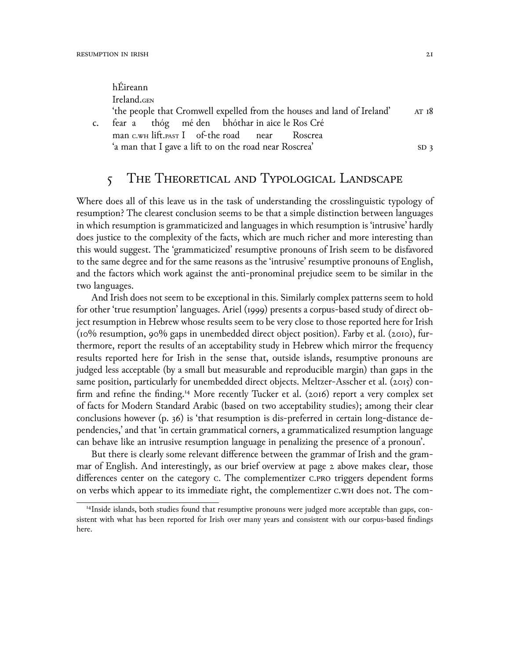$c$ .

| hÉireann                                                                |                 |
|-------------------------------------------------------------------------|-----------------|
| Ireland.GEN                                                             |                 |
| 'the people that Cromwell expelled from the houses and land of Ireland' | AT 18           |
| fear a thóg mé den bhóthar in aice le Ros Cré                           |                 |
| man c.wH lift.past I of-the road near Roscrea                           |                 |
| 'a man that I gave a lift to on the road near Roscrea'                  | SD <sub>3</sub> |

# 5 THE THEORETICAL AND TYPOLOGICAL LANDSCAPE

Where does all of this leave us in the task of understanding the crosslinguistic typology of resumption? The clearest conclusion seems to be that a simple distinction between languages in which resumption is grammaticized and languages in which resumption is 'intrusive' hardly does justice to the complexity of the facts, which are much richer and more interesting than this would suggest. The 'grammaticized' resumptive pronouns of Irish seem to be disfavored to the same degree and for the same reasons as the 'intrusive' resumptive pronouns of English, and the factors which work against the anti-pronominal prejudice seem to be similar in the two languages.

And Irish does not seem to be exceptional in this. Similarly complex patterns seem to hold for other 'true resumption' languages. Ariel (1999) presents a corpus-based study of direct object resumption in Hebrew whose results seem to be very close to those reported here for Irish  $(10\%$  resumption, 90% gaps in unembedded direct object position). Farby et al. (2010), furthermore, report the results of an acceptability study in Hebrew which mirror the frequency results reported here for Irish in the sense that, outside islands, resumptive pronouns are judged less acceptable (by a small but measurable and reproducible margin) than gaps in the same position, particularly for unembedded direct objects. Meltzer-Asscher et al. (2015) confirm and refine the finding.<sup>14</sup> More recently Tucker et al.  $(2016)$  report a very complex set of facts for Modern Standard Arabic (based on two acceptability studies); among their clear conclusions however (p. 36) is 'that resumption is dis-preferred in certain long-distance dependencies,' and that 'in certain grammatical corners, a grammaticalized resumption language can behave like an intrusive resumption language in penalizing the presence of a pronoun'.

But there is clearly some relevant difference between the grammar of Irish and the grammar of English. And interestingly, as our brief overview at page 2 above makes clear, those differences center on the category c. The complementizer c.pro triggers dependent forms on verbs which appear to its immediate right, the complementizer c.wH does not. The com-

<sup>14</sup>Inside islands, both studies found that resumptive pronouns were judged more acceptable than gaps, consistent with what has been reported for Irish over many years and consistent with our corpus-based findings here.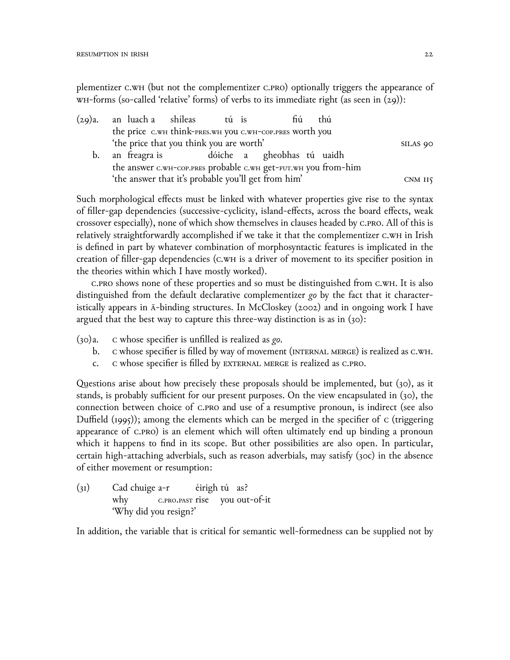plementizer C.WH (but not the complementizer C.PRO) optionally triggers the appearance of WH-forms (so-called 'relative' forms) of verbs to its immediate right (as seen in  $(29)$ ):

|    | (29)a. an luach-a shíleas tú is                                |  |         | fiú | thú |  |  |
|----|----------------------------------------------------------------|--|---------|-----|-----|--|--|
|    | the price C.WH think-PRES.WH YOU C.WH-COP.PRES WOrth you       |  |         |     |     |  |  |
|    | 'the price that you think you are worth'                       |  |         |     |     |  |  |
| b. | an freagra is dóiche a gheobhas tú uaidh                       |  |         |     |     |  |  |
|    | the answer c.wH-cop.pres probable c.wH get-FUT.WH you from-him |  |         |     |     |  |  |
|    | 'the answer that it's probable you'll get from him'            |  | CNM II5 |     |     |  |  |

Such morphological effects must be linked with whatever properties give rise to the syntax of filler-gap dependencies (successive-cyclicity, island-effects, across the board effects, weak crossover especially), none of which show themselves in clauses headed by C.PRO. All of this is relatively straightforwardly accomplished if we take it that the complementizer c.wH in Irish is defined in part by whatever combination of morphosyntactic features is implicated in the creation of filler-gap dependencies (C.WH is a driver of movement to its specifier position in the theories within which I have mostly worked).

C.PRO shows none of these properties and so must be distinguished from C.WH. It is also distinguished from the default declarative complementizer go by the fact that it characteristically appears in  $\bar{A}$ -binding structures. In McCloskey (2002) and in ongoing work I have argued that the best way to capture this three-way distinction is as in  $(30)$ :

 $(30)a$ . c whose specifier is unfilled is realized as go.

- $\mathbf{b}$ . c whose specifier is filled by way of movement (INTERNAL MERGE) is realized as C.WH.
- C whose specifier is filled by EXTERNAL MERGE is realized as C.PRO.  $\mathsf{C}$ .

Questions arise about how precisely these proposals should be implemented, but (30), as it stands, is probably sufficient for our present purposes. On the view encapsulated in (30), the connection between choice of C.PRO and use of a resumptive pronoun, is indirect (see also Duffield  $(1995)$ ; among the elements which can be merged in the specifier of c (triggering appearance of C.PRO) is an element which will often ultimately end up binding a pronoun which it happens to find in its scope. But other possibilities are also open. In particular, certain high-attaching adverbials, such as reason adverbials, may satisfy (30c) in the absence of either movement or resumption:

 $(31)$ Cad chuige  $a-r$ éirigh tú as? why c.PRO.PAST rise you out-of-it 'Why did you resign?'

In addition, the variable that is critical for semantic well-formedness can be supplied not by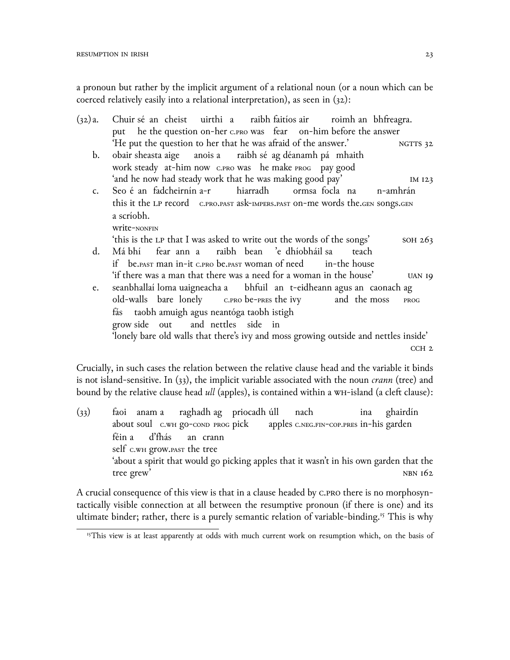a pronoun but rather by the implicit argument of a relational noun (or a noun which can be coerced relatively easily into a relational interpretation), as seen in (32):

| (32)a.      | Chuir sé an cheist uirthi a raibh faitíos air roimh an bhfreagra.                    |
|-------------|--------------------------------------------------------------------------------------|
|             | put he the question on-her c.pro was fear on-him before the answer                   |
|             | 'He put the question to her that he was afraid of the answer.' NGTTS 32              |
| b.          | obair sheasta aige anois a raibh sé ag déanamh pá mhaith                             |
|             | work steady at-him now c.PRO Was he make PROG pay good                               |
|             | 'and he now had steady work that he was making good pay'<br>IM 123                   |
| $C_{\star}$ | Seo é an fadcheirnín a-r hiarradh ormsa focla na n-amhrán                            |
|             | this it the LP record c.PRO.PAST ask-IMPERS.PAST ON-me words the.GEN SONGS.GEN       |
|             | a scríobh.                                                                           |
|             | Write-NONFIN                                                                         |
|             | 'this is the LP that I was asked to write out the words of the songs'<br>SOH 263     |
| d.          | Má bhí fear ann a raibh bean 'e dhíobháil sa teach                                   |
|             | if be PAST man in-it c.PRO be PAST woman of need in-the house                        |
|             | 'if there was a man that there was a need for a woman in the house'<br><b>UAN 19</b> |
| e.          | seanbhallaí loma uaigneacha a bhfuil an t-eidheann agus an caonach ag                |
|             | old-walls bare lonely c.PRO be-PRES the ivy and the moss<br>PROG                     |
|             | fás taobh amuigh agus neantóga taobh istigh                                          |
|             | grow side out and nettles side in                                                    |
|             | 'lonely bare old walls that there's ivy and moss growing outside and nettles inside' |
|             |                                                                                      |
|             | CCH <sub>2</sub>                                                                     |

Crucially, in such cases the relation between the relative clause head and the variable it binds is not island-sensitive. In (33), the implicit variable associated with the noun *crann* (tree) and bound by the relative clause head *ull* (apples), is contained within a WH-island (a cleft clause):

 $(33)$ about soul c.wн go-cond prog pick anam a raghadh ag priocadh úll apples c.neg.fin-cop.pres in-his garden nach ina ghairdín féin a self c.wн grow.past the tree d'fhás an crann 'about a spirit that would go picking apples that it wasn't in his own garden that the tree grew'  $N$ BN 162

A crucial consequence of this view is that in a clause headed by c.pro there is no morphosyntactically visible connection at all between the resumptive pronoun (if there is one) and its ultimate binder; rather, there is a purely semantic relation of variable-binding.<sup>15</sup> This is why

<sup>&</sup>lt;sup>15</sup>This view is at least apparently at odds with much current work on resumption which, on the basis of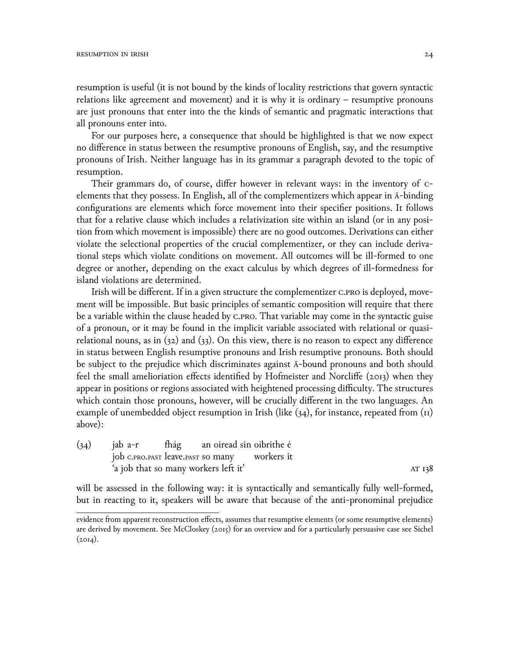resumption is useful (it is not bound by the kinds of locality restrictions that govern syntactic relations like agreement and movement) and it is why it is ordinary – resumptive pronouns are just pronouns that enter into the the kinds of semantic and pragmatic interactions that all pronouns enter into.

For our purposes here, a consequence that should be highlighted is that we now expect no difference in status between the resumptive pronouns of English, say, and the resumptive pronouns of Irish. Neither language has in its grammar a paragraph devoted to the topic of resumption.

Their grammars do, of course, differ however in relevant ways: in the inventory of celements that they possess. In English, all of the complementizers which appear in ā-binding configurations are elements which force movement into their specifier positions. It follows that for a relative clause which includes a relativization site within an island (or in any position from which movement is impossible) there are no good outcomes. Derivations can either violate the selectional properties of the crucial complementizer, or they can include derivational steps which violate conditions on movement. All outcomes will be ill-formed to one degree or another, depending on the exact calculus by which degrees of ill-formedness for island violations are determined.

Irish will be different. If in a given structure the complementizer c.pro is deployed, movement will be impossible. But basic principles of semantic composition will require that there be a variable within the clause headed by c.pro. That variable may come in the syntactic guise of a pronoun, or it may be found in the implicit variable associated with relational or quasirelational nouns, as in  $(32)$  and  $(33)$ . On this view, there is no reason to expect any difference in status between English resumptive pronouns and Irish resumptive pronouns. Both should be subject to the prejudice which discriminates against ā-bound pronouns and both should feel the small amelioriation effects identified by Hofmeister and Norcliffe (2ெ13) when they appear in positions or regions associated with heightened processing difficulty. The structures which contain those pronouns, however, will be crucially different in the two languages. An example of unembedded object resumption in Irish (like  $(34)$ , for instance, repeated from  $(11)$ ) above):

| (34) | jab a-r                                      |  |                                      | fhág an oiread sin oibrithe é |        |
|------|----------------------------------------------|--|--------------------------------------|-------------------------------|--------|
|      | job c.pro.past leave.past so many vorkers it |  |                                      |                               |        |
|      |                                              |  | 'a job that so many workers left it' |                               | AT 138 |

will be assessed in the following way: it is syntactically and semantically fully well-formed, but in reacting to it, speakers will be aware that because of the anti-pronominal prejudice

evidence from apparent reconstruction effects, assumes that resumptive elements (or some resumptive elements) are derived by movement. See McCloskey (2015) for an overview and for a particularly persuasive case see Sichel  $(2014).$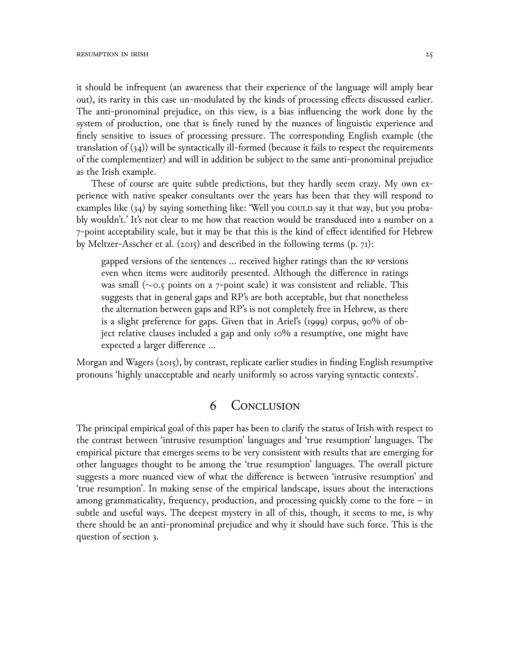it should be infrequent (an awareness that their experience of the language will amply bear out), its rarity in this case un-modulated by the kinds of processing effects discussed earlier. The anti-pronominal prejudice, on this view, is a bias influencing the work done by the system of production, one that is finely tuned by the nuances of linguistic experience and finely sensitive to issues of processing pressure. The corresponding English example (the translation of  $(34)$ ) will be syntactically ill-formed (because it fails to respect the requirements of the complementizer) and will in addition be subject to the same anti-pronominal prejudice as the Irish example.

These of course are quite subtle predictions, but they hardly seem crazy. My own experience with native speaker consultants over the years has been that they will respond to examples like  $(34)$  by saying something like: 'Well you could say it that way, but you probably wouldn't.' It's not clear to me how that reaction would be transduced into a number on a 7-point acceptability scale, but it may be that this is the kind of effect identified for Hebrew by Meltzer-Asscher et al. (2015) and described in the following terms  $(p, 71)$ :

gapped versions of the sentences … received higher ratings than the rp versions even when items were auditorily presented. Although the difference in ratings was small (*∼*ெ.5 points on a 7-point scale) it was consistent and reliable. This suggests that in general gaps and RP's are both acceptable, but that nonetheless the alternation between gaps and RP's is not completely free in Hebrew, as there is a slight preference for gaps. Given that in Ariel's (1999) corpus, 90% of object relative clauses included a gap and only 10% a resumptive, one might have expected a larger difference …

Morgan and Wagers  $(2015)$ , by contrast, replicate earlier studies in finding English resumptive pronouns 'highly unacceptable and nearly uniformly so across varying syntactic contexts'.

## 6 Conclusion

The principal empirical goal of this paper has been to clarify the status of Irish with respect to the contrast between 'intrusive resumption' languages and 'true resumption' languages. The empirical picture that emerges seems to be very consistent with results that are emerging for other languages thought to be among the 'true resumption' languages. The overall picture suggests a more nuanced view of what the difference is between 'intrusive resumption' and 'true resumption'. In making sense of the empirical landscape, issues about the interactions among grammaticality, frequency, production, and processing quickly come to the fore  $-$  in subtle and useful ways. The deepest mystery in all of this, though, it seems to me, is why there should be an anti-pronominal prejudice and why it should have such force. This is the question of section 3.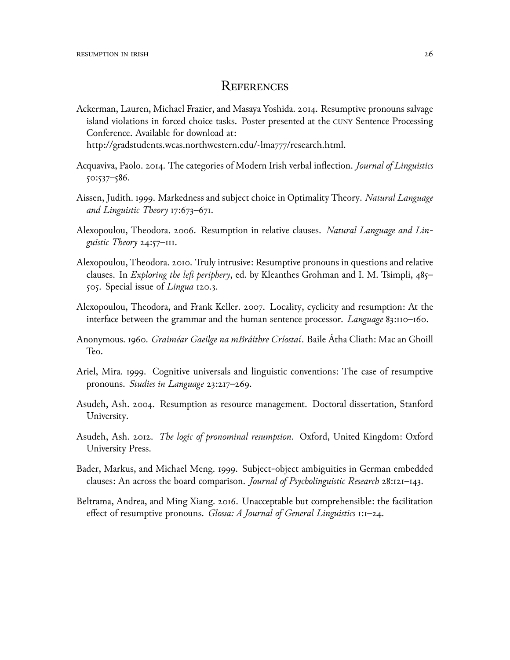### **REFERENCES**

Ackerman, Lauren, Michael Frazier, and Masaya Yoshida. 2014. Resumptive pronouns salvage island violations in forced choice tasks. Poster presented at the cunள Sentence Processing Conference. Available for download at:

http://gradstudents.wcas.northwestern.edu/~lma777/research.html.

- Acquaviva, Paolo. 2ெ14. The categories of Modern Irish verbal inflection. *Journal of Linguistics* 5ெ:537–586.
- Aissen, Judith. 1999. Markedness and subject choice in Optimality Theory. *Natural Language and Linguistic Theory* 17:673–671.
- Alexopoulou, Theodora. 2006. Resumption in relative clauses. Natural Language and Lin*guistic Theory* 24:57–111.
- Alexopoulou, Theodora. 2010. Truly intrusive: Resumptive pronouns in questions and relative clauses. In *Exploring the left periphery*, ed. by Kleanthes Grohman and I. M. Tsimpli, 485– 505. Special issue of *Lingua* 120.3.
- Alexopoulou, Theodora, and Frank Keller. 2007. Locality, cyclicity and resumption: At the interface between the grammar and the human sentence processor. *Language* 83:110-160.
- Anonymous. 196ெ. *Graiméar Gaeilge na mBráithre Críostaí*. Baile Átha Cliath: Mac an Ghoill Teo.
- Ariel, Mira. 1999. Cognitive universals and linguistic conventions: The case of resumptive pronouns. *Studies in Language* 23:217–269.
- Asudeh, Ash. 2004. Resumption as resource management. Doctoral dissertation, Stanford University.
- Asudeh, Ash. 2ெ12. *The logic of pronominal resumption*. Oxford, United Kingdom: Oxford University Press.
- Bader, Markus, and Michael Meng. 1999. Subject-object ambiguities in German embedded clauses: An across the board comparison. *Journal of Psycholinguistic Research* 28:121–143.
- Beltrama, Andrea, and Ming Xiang. 2016. Unacceptable but comprehensible: the facilitation effect of resumptive pronouns. *Glossa: A Journal of General Linguistics* 1:1–24.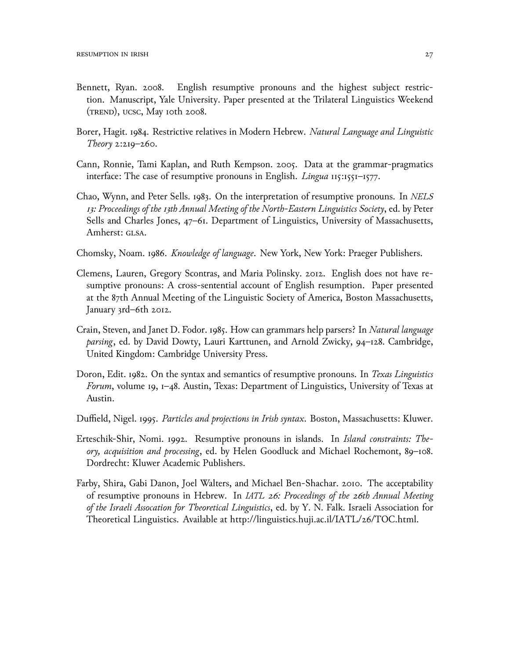- Bennett, Ryan. 2008. English resumptive pronouns and the highest subject restriction. Manuscript, Yale University. Paper presented at the Trilateral Linguistics Weekend  $(r_{REND})$ , ucsc, May 10th 2008.
- Borer, Hagit. 1984. Restrictive relatives in Modern Hebrew. *Natural Language and Linguistic Theory* 2:219–26ெ.
- Cann, Ronnie, Tami Kaplan, and Ruth Kempson. 2005. Data at the grammar-pragmatics interface: The case of resumptive pronouns in English. *Lingua* 115:1551–1577.
- Chao, Wynn, and Peter Sells. 1983. On the interpretation of resumptive pronouns. In *NELS 13: Proceedings of the 13th Annual Meeting of the North-Eastern Linguistics Society*, ed. by Peter Sells and Charles Jones, 47–61. Department of Linguistics, University of Massachusetts, Amherst: GLSA.
- Chomsky, Noam. 1986. *Knowledge of language*. New York, New York: Praeger Publishers.
- Clemens, Lauren, Gregory Scontras, and Maria Polinsky. 2012. English does not have resumptive pronouns: A cross-sentential account of English resumption. Paper presented at the 87th Annual Meeting of the Linguistic Society of America, Boston Massachusetts, January 3rd–6th 2012.
- Crain, Steven, and Janet D. Fodor. 1985. How can grammars help parsers? In *Natural language parsing*, ed. by David Dowty, Lauri Karttunen, and Arnold Zwicky, 94–128. Cambridge, United Kingdom: Cambridge University Press.
- Doron, Edit. 1982. On the syntax and semantics of resumptive pronouns. In *Texas Linguistics Forum*, volume 19, 1–48. Austin, Texas: Department of Linguistics, University of Texas at Austin.
- Duffield, Nigel. 1995. *Particles and projections in Irish syntax*. Boston, Massachusetts: Kluwer.
- Erteschik-Shir, Nomi. 1992. Resumptive pronouns in islands. In *Island constraints: Theory, acquisition and processing*, ed. by Helen Goodluck and Michael Rochemont, 89–108. Dordrecht: Kluwer Academic Publishers.
- Farby, Shira, Gabi Danon, Joel Walters, and Michael Ben-Shachar. 2010. The acceptability of resumptive pronouns in Hebrew. In *IATL 26: Proceedings of the 26th Annual Meeting of the Israeli Assocation for Theoretical Linguistics*, ed. by Y. N. Falk. Israeli Association for Theoretical Linguistics. Available at http://linguistics.huji.ac.il/IATL/26/TOC.html.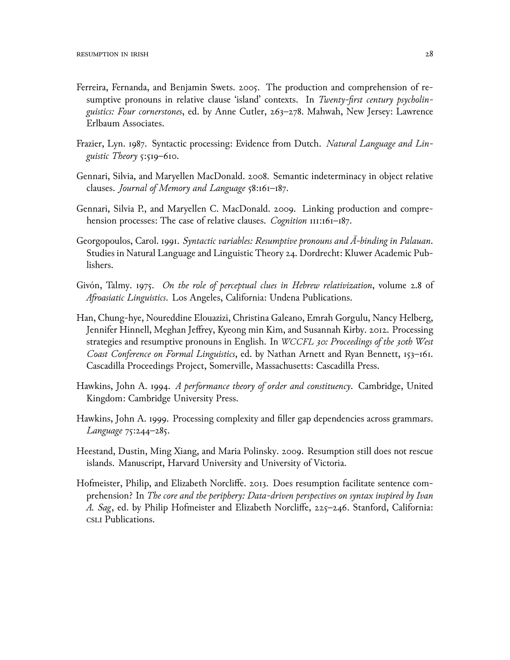- Ferreira, Fernanda, and Benjamin Swets. 2005. The production and comprehension of resumptive pronouns in relative clause 'island' contexts. In *Twenty-first century psycholinguistics: Four cornerstones*, ed. by Anne Cutler, 263–278. Mahwah, New Jersey: Lawrence Erlbaum Associates.
- Frazier, Lyn. 1987. Syntactic processing: Evidence from Dutch. *Natural Language and Linguistic Theory* 5:519–61ெ.
- Gennari, Silvia, and Maryellen MacDonald. 2008. Semantic indeterminacy in object relative clauses. *Journal of Memory and Language* 58:161–187.
- Gennari, Silvia P., and Maryellen C. MacDonald. 2009. Linking production and comprehension processes: The case of relative clauses. *Cognition* 111:161–187.
- Georgopoulos, Carol. 1991. *Syntactic variables: Resumptive pronouns and Ā-binding in Palauan*. Studies in Natural Language and Linguistic Theory 24. Dordrecht: Kluwer Academic Publishers.
- Givón, Talmy. 1975. *On the role of perceptual clues in Hebrew relativization*, volume 2.8 of *Afroasiatic Linguistics*. Los Angeles, California: Undena Publications.
- Han, Chung-hye, Noureddine Elouazizi, Christina Galeano, Emrah Gorgulu, Nancy Helberg, Jennifer Hinnell, Meghan Jeffrey, Kyeong min Kim, and Susannah Kirby. 2012. Processing strategies and resumptive pronouns in English. In *WCCFL 30: Proceedings of the 30th West Coast Conference on Formal Linguistics*, ed. by Nathan Arnett and Ryan Bennett, 153–161. Cascadilla Proceedings Project, Somerville, Massachusetts: Cascadilla Press.
- Hawkins, John A. 1994. *A performance theory of order and constituency*. Cambridge, United Kingdom: Cambridge University Press.
- Hawkins, John A. 1999. Processing complexity and filler gap dependencies across grammars. *Language* 75:244–285.
- Heestand, Dustin, Ming Xiang, and Maria Polinsky. 2009. Resumption still does not rescue islands. Manuscript, Harvard University and University of Victoria.
- Hofmeister, Philip, and Elizabeth Norcliffe. 2013. Does resumption facilitate sentence comprehension? In *The core and the periphery: Data-driven perspectives on syntax inspired by Ivan A. Sag*, ed. by Philip Hofmeister and Elizabeth Norcliffe, 225–246. Stanford, California: csli Publications.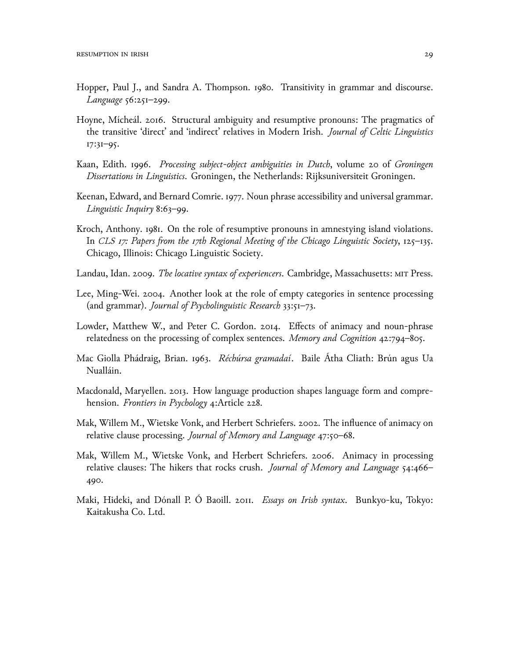- Hopper, Paul J., and Sandra A. Thompson. 1980. Transitivity in grammar and discourse. *Language* 56:251–299.
- Hoyne, Mícheál. 2ெ16. Structural ambiguity and resumptive pronouns: The pragmatics of the transitive 'direct' and 'indirect' relatives in Modern Irish. *Journal of Celtic Linguistics* 17:31–95.
- Kaan, Edith. 1996. Processing subject-object ambiguities in Dutch, volume 20 of Groningen *Dissertations in Linguistics*. Groningen, the Netherlands: Rijksuniversiteit Groningen.
- Keenan, Edward, and Bernard Comrie. 1977. Noun phrase accessibility and universal grammar. *Linguistic Inquiry* 8:63–99.
- Kroch, Anthony. 1981. On the role of resumptive pronouns in amnestying island violations. In *CLS 17: Papers from the 17th Regional Meeting of the Chicago Linguistic Society*, 125–135. Chicago, Illinois: Chicago Linguistic Society.
- Landau, Idan. 2009. *The locative syntax of experiencers*. Cambridge, Massachusetts: MIT Press.
- Lee, Ming-Wei. 2004. Another look at the role of empty categories in sentence processing (and grammar). *Journal of Psycholinguistic Research* 33:51–73.
- Lowder, Matthew W., and Peter C. Gordon. 2014. Effects of animacy and noun-phrase relatedness on the processing of complex sentences. *Memory and Cognition* 42:794–8ெ5.
- Mac Giolla Phádraig, Brian. 1963. *Réchúrsa gramadaí*. Baile Átha Cliath: Brún agus Ua Nualláin.
- Macdonald, Maryellen. 2013. How language production shapes language form and comprehension. *Frontiers in Psychology* 4:Article 228.
- Mak, Willem M., Wietske Vonk, and Herbert Schriefers. 2002. The influence of animacy on relative clause processing. *Journal of Memory and Language* 47:50-68.
- Mak, Willem M., Wietske Vonk, and Herbert Schriefers. 2006. Animacy in processing relative clauses: The hikers that rocks crush. *Journal of Memory and Language* 54:466– 49ெ.
- Maki, Hideki, and Dónall P. Ó Baoill. 2011. *Essays on Irish syntax*. Bunkyo-ku, Tokyo: Kaitakusha Co. Ltd.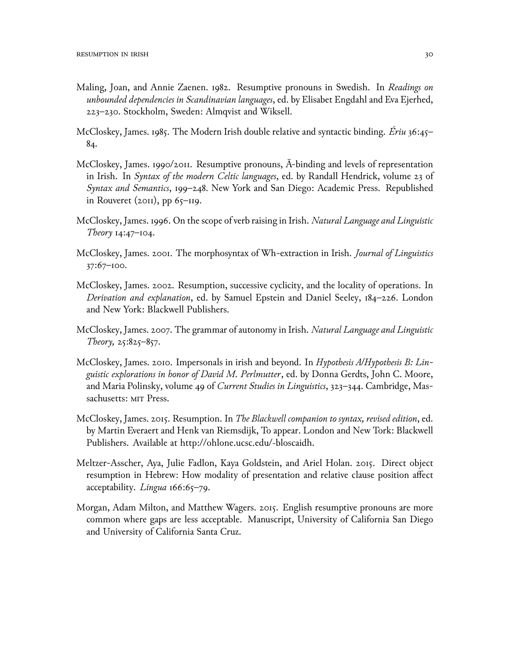- Maling, Joan, and Annie Zaenen. 1982. Resumptive pronouns in Swedish. In Readings on unbounded dependencies in Scandinavian languages, ed. by Elisabet Engdahl and Eva Ejerhed, 223-230. Stockholm, Sweden: Almqvist and Wiksell.
- McCloskey, James. 1985. The Modern Irish double relative and syntactic binding. Eriu 36:45– 84.
- McCloskey, James. 1990/2011. Resumptive pronouns, A-binding and levels of representation in Irish. In Syntax of the modern Celtic languages, ed. by Randall Hendrick, volume 23 of Syntax and Semantics, 199-248. New York and San Diego: Academic Press. Republished in Rouveret (2011), pp  $65$ –119.
- McCloskey, James. 1996. On the scope of verb raising in Irish. Natural Language and Linguistic Theory  $14:47 - 104$ .
- McCloskey, James. 2001. The morphosyntax of Wh-extraction in Irish. Journal of Linguistics  $37:67 - 100.$
- McCloskey, James. 2002. Resumption, successive cyclicity, and the locality of operations. In Derivation and explanation, ed. by Samuel Epstein and Daniel Seeley, 184-226. London and New York: Blackwell Publishers.
- McCloskey, James. 2007. The grammar of autonomy in Irish. Natural Language and Linguistic Theory,  $25:825-857$ .
- McCloskey, James. 2010. Impersonals in irish and beyond. In Hypothesis A/Hypothesis B: Lin*guistic explorations in honor of David M. Perlmutter, ed. by Donna Gerdts, John C. Moore,* and Maria Polinsky, volume 49 of Current Studies in Linguistics, 323-344. Cambridge, Massachusetts: MIT Press.
- McCloskey, James. 2015. Resumption. In The Blackwell companion to syntax, revised edition, ed. by Martin Everaert and Henk van Riemsdijk, To appear. London and New Tork: Blackwell Publishers. Available at http://ohlone.ucsc.edu/~bloscaidh.
- Meltzer-Asscher, Aya, Julie Fadlon, Kaya Goldstein, and Ariel Holan. 2015. Direct object resumption in Hebrew: How modality of presentation and relative clause position affect acceptability. Lingua 166:65-79.
- Morgan, Adam Milton, and Matthew Wagers. 2015. English resumptive pronouns are more common where gaps are less acceptable. Manuscript, University of California San Diego and University of California Santa Cruz.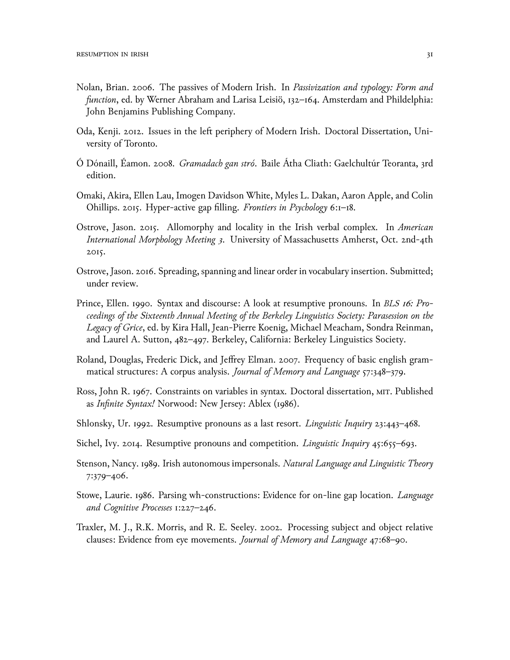- Nolan, Brian. 2006. The passives of Modern Irish. In Passivization and typology: Form and function, ed. by Werner Abraham and Larisa Leisiö, 132-164. Amsterdam and Phildelphia: John Benjamins Publishing Company.
- Oda, Kenji. 2012. Issues in the left periphery of Modern Irish. Doctoral Dissertation, University of Toronto.
- Ó Dónaill, Éamon. 2008. *Gramadach gan stró*. Baile Átha Cliath: Gaelchultúr Teoranta, 3rd edition.
- Omaki, Akira, Ellen Lau, Imogen Davidson White, Myles L. Dakan, Aaron Apple, and Colin Ohillips. 2015. Hyper-active gap filling. Frontiers in Psychology 6:1–18.
- Ostrove, Jason. 2015. Allomorphy and locality in the Irish verbal complex. In American International Morphology Meeting 3. University of Massachusetts Amherst, Oct. 2nd-4th 2015.
- Ostrove, Jason. 2016. Spreading, spanning and linear order in vocabulary insertion. Submitted; under review.
- Prince, Ellen. 1990. Syntax and discourse: A look at resumptive pronouns. In BLS 16: Proceedings of the Sixteenth Annual Meeting of the Berkeley Linguistics Society: Parasession on the Legacy of Grice, ed. by Kira Hall, Jean-Pierre Koenig, Michael Meacham, Sondra Reinman, and Laurel A. Sutton, 482–497. Berkeley, California: Berkeley Linguistics Society.
- Roland, Douglas, Frederic Dick, and Jeffrey Elman. 2007. Frequency of basic english grammatical structures: A corpus analysis. Journal of Memory and Language 57:348-379.
- Ross, John R. 1967. Constraints on variables in syntax. Doctoral dissertation, MIT. Published as Infinite Syntax! Norwood: New Jersey: Ablex (1986).
- Shlonsky, Ur. 1992. Resumptive pronouns as a last resort. *Linguistic Inquiry* 23:443–468.
- Sichel, Ivy. 2014. Resumptive pronouns and competition. Linguistic Inquiry 45:655-693.
- Stenson, Nancy. 1989. Irish autonomous impersonals. Natural Language and Linguistic Theory 7:379-406.
- Stowe, Laurie. 1986. Parsing wh-constructions: Evidence for on-line gap location. *Language* and Cognitive Processes 1:227-246.
- Traxler, M. J., R.K. Morris, and R. E. Seeley. 2002. Processing subject and object relative clauses: Evidence from eye movements. Journal of Memory and Language 47:68-90.